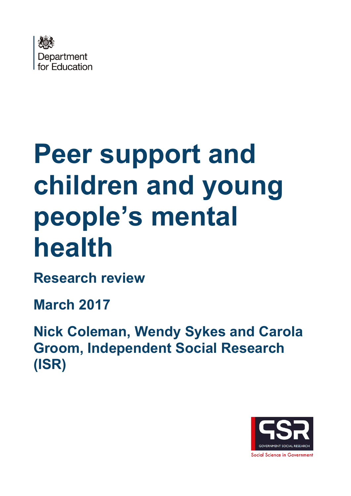

# **Peer support and children and young people's mental health**

**Research review** 

**March 2017** 

**Nick Coleman, Wendy Sykes and Carola Groom, Independent Social Research (ISR)** 

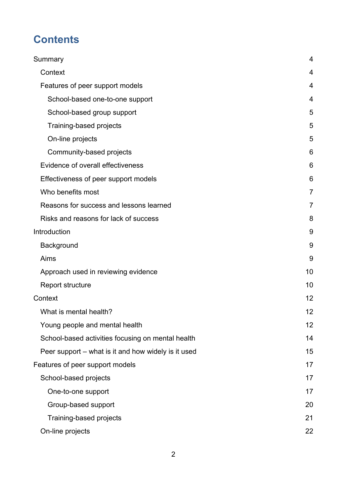# **Contents**

| Summary                                             | 4              |
|-----------------------------------------------------|----------------|
| Context                                             | 4              |
| Features of peer support models                     | 4              |
| School-based one-to-one support                     | $\overline{4}$ |
| School-based group support                          | 5              |
| Training-based projects                             | 5              |
| On-line projects                                    | 5              |
| Community-based projects                            | 6              |
| Evidence of overall effectiveness                   | 6              |
| Effectiveness of peer support models                | 6              |
| Who benefits most                                   | 7              |
| Reasons for success and lessons learned             | 7              |
| Risks and reasons for lack of success               | 8              |
| Introduction                                        | 9              |
| Background                                          | 9              |
| Aims                                                | 9              |
| Approach used in reviewing evidence                 | 10             |
| <b>Report structure</b>                             | 10             |
| Context                                             | 12             |
| What is mental health?                              | 12             |
| Young people and mental health                      | 12             |
| School-based activities focusing on mental health   | 14             |
| Peer support – what is it and how widely is it used | 15             |
| Features of peer support models                     | 17             |
| School-based projects                               | 17             |
| One-to-one support                                  | 17             |
| Group-based support                                 | 20             |
| Training-based projects                             | 21             |
| On-line projects                                    | 22             |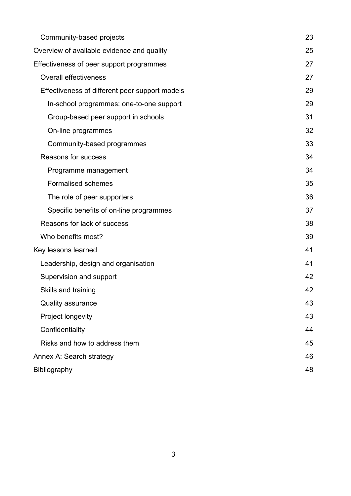| Community-based projects                       | 23 |
|------------------------------------------------|----|
| Overview of available evidence and quality     | 25 |
| Effectiveness of peer support programmes       | 27 |
| <b>Overall effectiveness</b>                   | 27 |
| Effectiveness of different peer support models | 29 |
| In-school programmes: one-to-one support       | 29 |
| Group-based peer support in schools            | 31 |
| On-line programmes                             | 32 |
| Community-based programmes                     | 33 |
| Reasons for success                            | 34 |
| Programme management                           | 34 |
| <b>Formalised schemes</b>                      | 35 |
| The role of peer supporters                    | 36 |
| Specific benefits of on-line programmes        | 37 |
| Reasons for lack of success                    | 38 |
| Who benefits most?                             | 39 |
| Key lessons learned                            | 41 |
| Leadership, design and organisation            | 41 |
| Supervision and support                        | 42 |
| Skills and training                            | 42 |
| <b>Quality assurance</b>                       | 43 |
| Project longevity                              | 43 |
| Confidentiality                                | 44 |
| Risks and how to address them                  | 45 |
| Annex A: Search strategy                       | 46 |
| Bibliography                                   | 48 |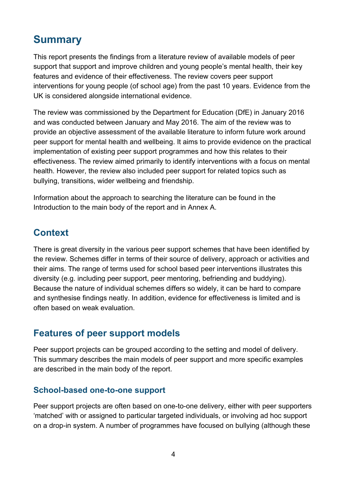# <span id="page-3-0"></span>**Summary**

This report presents the findings from a literature review of available models of peer support that support and improve children and young people's mental health, their key features and evidence of their effectiveness. The review covers peer support interventions for young people (of school age) from the past 10 years. Evidence from the UK is considered alongside international evidence.

The review was commissioned by the Department for Education (DfE) in January 2016 and was conducted between January and May 2016. The aim of the review was to provide an objective assessment of the available literature to inform future work around peer support for mental health and wellbeing. It aims to provide evidence on the practical implementation of existing peer support programmes and how this relates to their effectiveness. The review aimed primarily to identify interventions with a focus on mental health. However, the review also included peer support for related topics such as bullying, transitions, wider wellbeing and friendship.

Information about the approach to searching the literature can be found in the Introduction to the main body of the report and in Annex A.

## <span id="page-3-1"></span>**Context**

There is great diversity in the various peer support schemes that have been identified by the review. Schemes differ in terms of their source of delivery, approach or activities and their aims. The range of terms used for school based peer interventions illustrates this diversity (e.g. including peer support, peer mentoring, befriending and buddying). Because the nature of individual schemes differs so widely, it can be hard to compare and synthesise findings neatly. In addition, evidence for effectiveness is limited and is often based on weak evaluation.

## <span id="page-3-2"></span>**Features of peer support models**

Peer support projects can be grouped according to the setting and model of delivery. This summary describes the main models of peer support and more specific examples are described in the main body of the report.

#### <span id="page-3-3"></span>**School-based one-to-one support**

Peer support projects are often based on one-to-one delivery, either with peer supporters 'matched' with or assigned to particular targeted individuals, or involving ad hoc support on a drop-in system. A number of programmes have focused on bullying (although these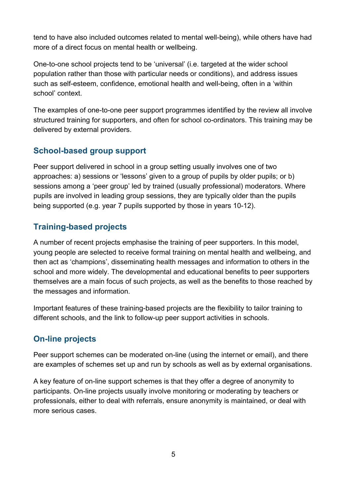tend to have also included outcomes related to mental well-being), while others have had more of a direct focus on mental health or wellbeing.

One-to-one school projects tend to be 'universal' (i.e. targeted at the wider school population rather than those with particular needs or conditions), and address issues such as self-esteem, confidence, emotional health and well-being, often in a 'within school' context.

The examples of one-to-one peer support programmes identified by the review all involve structured training for supporters, and often for school co-ordinators. This training may be delivered by external providers.

#### <span id="page-4-0"></span>**School-based group support**

Peer support delivered in school in a group setting usually involves one of two approaches: a) sessions or 'lessons' given to a group of pupils by older pupils; or b) sessions among a 'peer group' led by trained (usually professional) moderators. Where pupils are involved in leading group sessions, they are typically older than the pupils being supported (e.g. year 7 pupils supported by those in years 10-12).

### <span id="page-4-1"></span>**Training-based projects**

A number of recent projects emphasise the training of peer supporters. In this model, young people are selected to receive formal training on mental health and wellbeing, and then act as 'champions', disseminating health messages and information to others in the school and more widely. The developmental and educational benefits to peer supporters themselves are a main focus of such projects, as well as the benefits to those reached by the messages and information.

Important features of these training-based projects are the flexibility to tailor training to different schools, and the link to follow-up peer support activities in schools.

#### <span id="page-4-2"></span>**On-line projects**

Peer support schemes can be moderated on-line (using the internet or email), and there are examples of schemes set up and run by schools as well as by external organisations.

A key feature of on-line support schemes is that they offer a degree of anonymity to participants. On-line projects usually involve monitoring or moderating by teachers or professionals, either to deal with referrals, ensure anonymity is maintained, or deal with more serious cases.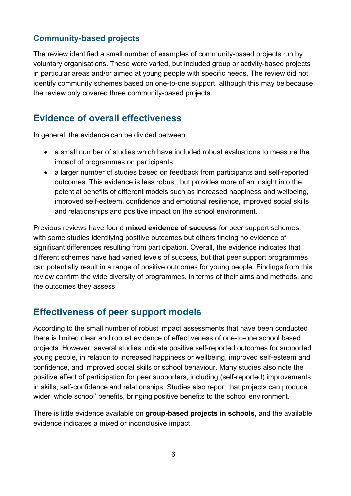#### <span id="page-5-0"></span>**Community-based projects**

The review identified a small number of examples of community-based projects run by voluntary organisations. These were varied, but included group or activity-based projects in particular areas and/or aimed at young people with specific needs. The review did not identify community schemes based on one-to-one support, although this may be because the review only covered three community-based projects.

## <span id="page-5-1"></span>**Evidence of overall effectiveness**

In general, the evidence can be divided between:

- a small number of studies which have included robust evaluations to measure the impact of programmes on participants;
- a larger number of studies based on feedback from participants and self-reported outcomes. This evidence is less robust, but provides more of an insight into the potential benefits of different models such as increased happiness and wellbeing, improved self-esteem, confidence and emotional resilience, improved social skills and relationships and positive impact on the school environment.

Previous reviews have found **mixed evidence of success** for peer support schemes, with some studies identifying positive outcomes but others finding no evidence of significant differences resulting from participation. Overall, the evidence indicates that different schemes have had varied levels of success, but that peer support programmes can potentially result in a range of positive outcomes for young people. Findings from this review confirm the wide diversity of programmes, in terms of their aims and methods, and the outcomes they assess.

## <span id="page-5-2"></span>**Effectiveness of peer support models**

According to the small number of robust impact assessments that have been conducted there is limited clear and robust evidence of effectiveness of one-to-one school based projects. However, several studies indicate positive self-reported outcomes for supported young people, in relation to increased happiness or wellbeing, improved self-esteem and confidence, and improved social skills or school behaviour. Many studies also note the positive effect of participation for peer supporters, including (self-reported) improvements in skills, self-confidence and relationships. Studies also report that projects can produce wider 'whole school' benefits, bringing positive benefits to the school environment.

There is little evidence available on **group-based projects in schools**, and the available evidence indicates a mixed or inconclusive impact.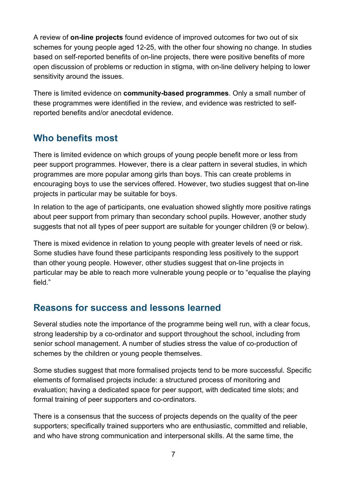A review of **on-line projects** found evidence of improved outcomes for two out of six schemes for young people aged 12-25, with the other four showing no change. In studies based on self-reported benefits of on-line projects, there were positive benefits of more open discussion of problems or reduction in stigma, with on-line delivery helping to lower sensitivity around the issues.

There is limited evidence on **community-based programmes**. Only a small number of these programmes were identified in the review, and evidence was restricted to selfreported benefits and/or anecdotal evidence.

## <span id="page-6-0"></span>**Who benefits most**

There is limited evidence on which groups of young people benefit more or less from peer support programmes. However, there is a clear pattern in several studies, in which programmes are more popular among girls than boys. This can create problems in encouraging boys to use the services offered. However, two studies suggest that on-line projects in particular may be suitable for boys.

In relation to the age of participants, one evaluation showed slightly more positive ratings about peer support from primary than secondary school pupils. However, another study suggests that not all types of peer support are suitable for younger children (9 or below).

There is mixed evidence in relation to young people with greater levels of need or risk. Some studies have found these participants responding less positively to the support than other young people. However, other studies suggest that on-line projects in particular may be able to reach more vulnerable young people or to "equalise the playing field."

## <span id="page-6-1"></span>**Reasons for success and lessons learned**

Several studies note the importance of the programme being well run, with a clear focus, strong leadership by a co-ordinator and support throughout the school, including from senior school management. A number of studies stress the value of co-production of schemes by the children or young people themselves.

Some studies suggest that more formalised projects tend to be more successful. Specific elements of formalised projects include: a structured process of monitoring and evaluation; having a dedicated space for peer support, with dedicated time slots; and formal training of peer supporters and co-ordinators.

There is a consensus that the success of projects depends on the quality of the peer supporters; specifically trained supporters who are enthusiastic, committed and reliable, and who have strong communication and interpersonal skills. At the same time, the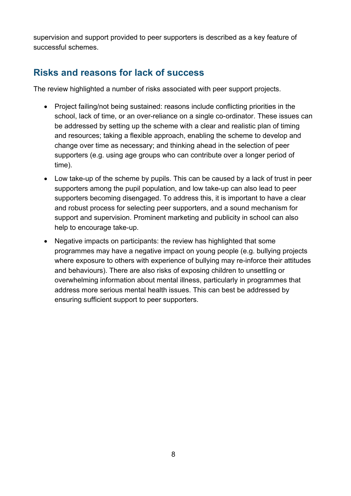supervision and support provided to peer supporters is described as a key feature of successful schemes.

## <span id="page-7-0"></span>**Risks and reasons for lack of success**

The review highlighted a number of risks associated with peer support projects.

- Project failing/not being sustained: reasons include conflicting priorities in the school, lack of time, or an over-reliance on a single co-ordinator. These issues can be addressed by setting up the scheme with a clear and realistic plan of timing and resources; taking a flexible approach, enabling the scheme to develop and change over time as necessary; and thinking ahead in the selection of peer supporters (e.g. using age groups who can contribute over a longer period of time).
- Low take-up of the scheme by pupils. This can be caused by a lack of trust in peer supporters among the pupil population, and low take-up can also lead to peer supporters becoming disengaged. To address this, it is important to have a clear and robust process for selecting peer supporters, and a sound mechanism for support and supervision. Prominent marketing and publicity in school can also help to encourage take-up.
- Negative impacts on participants: the review has highlighted that some programmes may have a negative impact on young people (e.g. bullying projects where exposure to others with experience of bullying may re-inforce their attitudes and behaviours). There are also risks of exposing children to unsettling or overwhelming information about mental illness, particularly in programmes that address more serious mental health issues. This can best be addressed by ensuring sufficient support to peer supporters.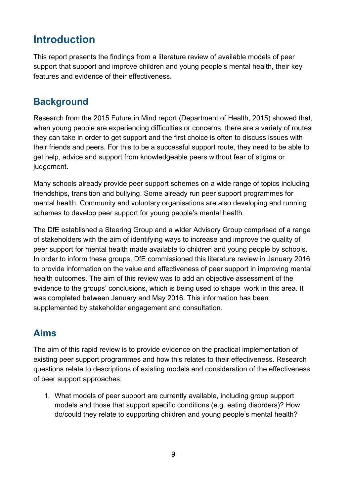# <span id="page-8-0"></span>**Introduction**

This report presents the findings from a literature review of available models of peer support that support and improve children and young people's mental health, their key features and evidence of their effectiveness.

## <span id="page-8-1"></span>**Background**

Research from the 2015 Future in Mind report (Department of Health, 2015) showed that, when young people are experiencing difficulties or concerns, there are a variety of routes they can take in order to get support and the first choice is often to discuss issues with their friends and peers. For this to be a successful support route, they need to be able to get help, advice and support from knowledgeable peers without fear of stigma or judgement.

Many schools already provide peer support schemes on a wide range of topics including friendships, transition and bullying. Some already run peer support programmes for mental health. Community and voluntary organisations are also developing and running schemes to develop peer support for young people's mental health.

The DfE established a Steering Group and a wider Advisory Group comprised of a range of stakeholders with the aim of identifying ways to increase and improve the quality of peer support for mental health made available to children and young people by schools. In order to inform these groups, DfE commissioned this literature review in January 2016 to provide information on the value and effectiveness of peer support in improving mental health outcomes. The aim of this review was to add an objective assessment of the evidence to the groups' conclusions, which is being used to shape work in this area. It was completed between January and May 2016. This information has been supplemented by stakeholder engagement and consultation.

## <span id="page-8-2"></span>**Aims**

The aim of this rapid review is to provide evidence on the practical implementation of existing peer support programmes and how this relates to their effectiveness. Research questions relate to descriptions of existing models and consideration of the effectiveness of peer support approaches:

1. What models of peer support are currently available, including group support models and those that support specific conditions (e.g. eating disorders)? How do/could they relate to supporting children and young people's mental health?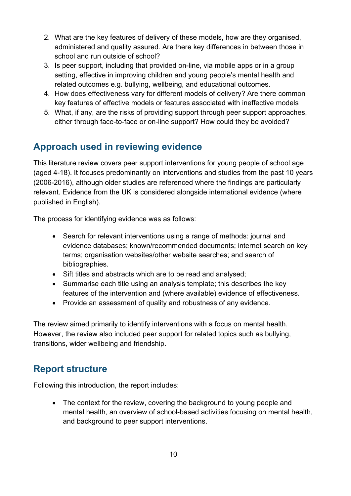- 2. What are the key features of delivery of these models, how are they organised, administered and quality assured. Are there key differences in between those in school and run outside of school?
- 3. Is peer support, including that provided on-line, via mobile apps or in a group setting, effective in improving children and young people's mental health and related outcomes e.g. bullying, wellbeing, and educational outcomes.
- 4. How does effectiveness vary for different models of delivery? Are there common key features of effective models or features associated with ineffective models
- 5. What, if any, are the risks of providing support through peer support approaches, either through face-to-face or on-line support? How could they be avoided?

# <span id="page-9-0"></span>**Approach used in reviewing evidence**

This literature review covers peer support interventions for young people of school age (aged 4-18). It focuses predominantly on interventions and studies from the past 10 years (2006-2016), although older studies are referenced where the findings are particularly relevant. Evidence from the UK is considered alongside international evidence (where published in English).

The process for identifying evidence was as follows:

- Search for relevant interventions using a range of methods: journal and evidence databases; known/recommended documents; internet search on key terms; organisation websites/other website searches; and search of bibliographies.
- Sift titles and abstracts which are to be read and analysed;
- Summarise each title using an analysis template; this describes the key features of the intervention and (where available) evidence of effectiveness.
- Provide an assessment of quality and robustness of any evidence.

The review aimed primarily to identify interventions with a focus on mental health. However, the review also included peer support for related topics such as bullying, transitions, wider wellbeing and friendship.

## <span id="page-9-1"></span>**Report structure**

Following this introduction, the report includes:

• The context for the review, covering the background to young people and mental health, an overview of school-based activities focusing on mental health, and background to peer support interventions.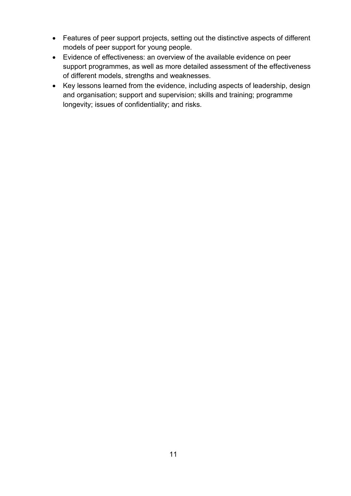- Features of peer support projects, setting out the distinctive aspects of different models of peer support for young people.
- Evidence of effectiveness: an overview of the available evidence on peer support programmes, as well as more detailed assessment of the effectiveness of different models, strengths and weaknesses.
- Key lessons learned from the evidence, including aspects of leadership, design and organisation; support and supervision; skills and training; programme longevity; issues of confidentiality; and risks.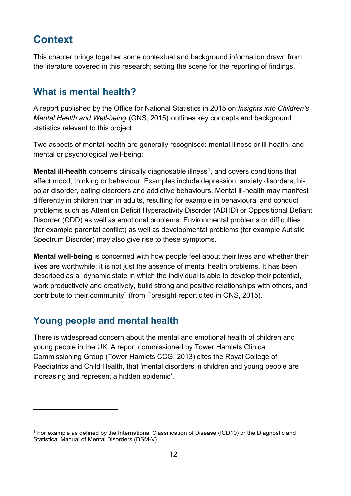# <span id="page-11-0"></span>**Context**

This chapter brings together some contextual and background information drawn from the literature covered in this research; setting the scene for the reporting of findings.

## <span id="page-11-1"></span>**What is mental health?**

A report published by the Office for National Statistics in 2015 on *Insights into Children's Mental Health and Well-being* (ONS, 2015) outlines key concepts and background statistics relevant to this project.

Two aspects of mental health are generally recognised: mental illness or ill-health, and mental or psychological well-being:

**Mental ill-health** concerns clinically diagnosable illness<sup>[1](#page-11-3)</sup>, and covers conditions that affect mood, thinking or behaviour. Examples include depression, anxiety disorders, bipolar disorder, eating disorders and addictive behaviours. Mental ill-health may manifest differently in children than in adults, resulting for example in behavioural and conduct problems such as Attention Deficit Hyperactivity Disorder (ADHD) or Oppositional Defiant Disorder (ODD) as well as emotional problems. Environmental problems or difficulties (for example parental conflict) as well as developmental problems (for example Autistic Spectrum Disorder) may also give rise to these symptoms.

**Mental well-being** is concerned with how people feel about their lives and whether their lives are worthwhile; it is not just the absence of mental health problems. It has been described as a "dynamic state in which the individual is able to develop their potential, work productively and creatively, build strong and positive relationships with others, and contribute to their community" (from Foresight report cited in ONS, 2015).

## <span id="page-11-2"></span>**Young people and mental health**

 $\overline{a}$ 

There is widespread concern about the mental and emotional health of children and young people in the UK. A report commissioned by Tower Hamlets Clinical Commissioning Group (Tower Hamlets CCG, 2013) cites the Royal College of Paediatrics and Child Health, that 'mental disorders in children and young people are increasing and represent a hidden epidemic'.

<span id="page-11-3"></span><sup>1</sup> For example as defined by the International Classification of Disease (ICD10) or the Diagnostic and Statistical Manual of Mental Disorders (DSM-V).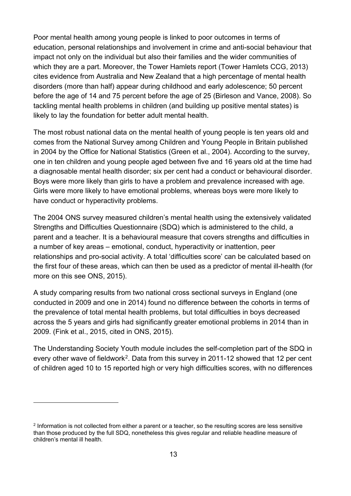Poor mental health among young people is linked to poor outcomes in terms of education, personal relationships and involvement in crime and anti-social behaviour that impact not only on the individual but also their families and the wider communities of which they are a part. Moreover, the Tower Hamlets report (Tower Hamlets CCG, 2013) cites evidence from Australia and New Zealand that a high percentage of mental health disorders (more than half) appear during childhood and early adolescence; 50 percent before the age of 14 and 75 percent before the age of 25 (Birleson and Vance, 2008). So tackling mental health problems in children (and building up positive mental states) is likely to lay the foundation for better adult mental health.

The most robust national data on the mental health of young people is ten years old and comes from the National Survey among Children and Young People in Britain published in 2004 by the Office for National Statistics (Green et al., 2004). According to the survey, one in ten children and young people aged between five and 16 years old at the time had a diagnosable mental health disorder; six per cent had a conduct or behavioural disorder. Boys were more likely than girls to have a problem and prevalence increased with age. Girls were more likely to have emotional problems, whereas boys were more likely to have conduct or hyperactivity problems.

The 2004 ONS survey measured children's mental health using the extensively validated Strengths and Difficulties Questionnaire (SDQ) which is administered to the child, a parent and a teacher. It is a behavioural measure that covers strengths and difficulties in a number of key areas – emotional, conduct, hyperactivity or inattention, peer relationships and pro-social activity. A total 'difficulties score' can be calculated based on the first four of these areas, which can then be used as a predictor of mental ill-health (for more on this see ONS, 2015).

A study comparing results from two national cross sectional surveys in England (one conducted in 2009 and one in 2014) found no difference between the cohorts in terms of the prevalence of total mental health problems, but total difficulties in boys decreased across the 5 years and girls had significantly greater emotional problems in 2014 than in 2009. (Fink et al., 2015, cited in ONS, 2015).

The Understanding Society Youth module includes the self-completion part of the SDQ in every other wave of fieldwork<sup>[2](#page-12-0)</sup>. Data from this survey in 2011-12 showed that 12 per cent of children aged 10 to 15 reported high or very high difficulties scores, with no differences

 $\overline{a}$ 

<span id="page-12-0"></span><sup>2</sup> Information is not collected from either a parent or a teacher, so the resulting scores are less sensitive than those produced by the full SDQ, nonetheless this gives regular and reliable headline measure of children's mental ill health.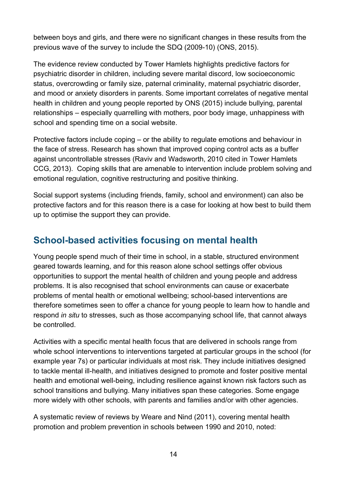between boys and girls, and there were no significant changes in these results from the previous wave of the survey to include the SDQ (2009-10) (ONS, 2015).

The evidence review conducted by Tower Hamlets highlights predictive factors for psychiatric disorder in children, including severe marital discord, low socioeconomic status, overcrowding or family size, paternal criminality, maternal psychiatric disorder, and mood or anxiety disorders in parents. Some important correlates of negative mental health in children and young people reported by ONS (2015) include bullying, parental relationships – especially quarrelling with mothers, poor body image, unhappiness with school and spending time on a social website.

Protective factors include coping – or the ability to regulate emotions and behaviour in the face of stress. Research has shown that improved coping control acts as a buffer against uncontrollable stresses (Raviv and Wadsworth, 2010 cited in Tower Hamlets CCG, 2013). Coping skills that are amenable to intervention include problem solving and emotional regulation, cognitive restructuring and positive thinking.

Social support systems (including friends, family, school and environment) can also be protective factors and for this reason there is a case for looking at how best to build them up to optimise the support they can provide.

## <span id="page-13-0"></span>**School-based activities focusing on mental health**

Young people spend much of their time in school, in a stable, structured environment geared towards learning, and for this reason alone school settings offer obvious opportunities to support the mental health of children and young people and address problems. It is also recognised that school environments can cause or exacerbate problems of mental health or emotional wellbeing; school-based interventions are therefore sometimes seen to offer a chance for young people to learn how to handle and respond *in situ* to stresses, such as those accompanying school life, that cannot always be controlled.

Activities with a specific mental health focus that are delivered in schools range from whole school interventions to interventions targeted at particular groups in the school (for example year 7s) or particular individuals at most risk. They include initiatives designed to tackle mental ill-health, and initiatives designed to promote and foster positive mental health and emotional well-being, including resilience against known risk factors such as school transitions and bullying. Many initiatives span these categories. Some engage more widely with other schools, with parents and families and/or with other agencies.

A systematic review of reviews by Weare and Nind (2011), covering mental health promotion and problem prevention in schools between 1990 and 2010, noted: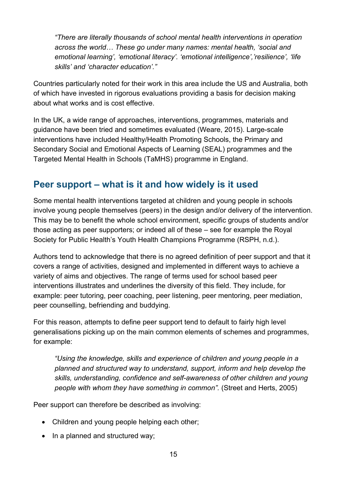*"There are literally thousands of school mental health interventions in operation across the world… These go under many names: mental health, 'social and emotional learning', 'emotional literacy'. 'emotional intelligence','resilience', 'life skills' and 'character education'."* 

Countries particularly noted for their work in this area include the US and Australia, both of which have invested in rigorous evaluations providing a basis for decision making about what works and is cost effective.

In the UK, a wide range of approaches, interventions, programmes, materials and guidance have been tried and sometimes evaluated (Weare, 2015). Large-scale interventions have included Healthy/Health Promoting Schools, the Primary and Secondary Social and Emotional Aspects of Learning (SEAL) programmes and the Targeted Mental Health in Schools (TaMHS) programme in England.

## <span id="page-14-0"></span>**Peer support – what is it and how widely is it used**

Some mental health interventions targeted at children and young people in schools involve young people themselves (peers) in the design and/or delivery of the intervention. This may be to benefit the whole school environment, specific groups of students and/or those acting as peer supporters; or indeed all of these – see for example the Royal Society for Public Health's Youth Health Champions Programme (RSPH, n.d.).

Authors tend to acknowledge that there is no agreed definition of peer support and that it covers a range of activities, designed and implemented in different ways to achieve a variety of aims and objectives. The range of terms used for school based peer interventions illustrates and underlines the diversity of this field. They include, for example: peer tutoring, peer coaching, peer listening, peer mentoring, peer mediation, peer counselling, befriending and buddying.

For this reason, attempts to define peer support tend to default to fairly high level generalisations picking up on the main common elements of schemes and programmes, for example:

*"Using the knowledge, skills and experience of children and young people in a planned and structured way to understand, support, inform and help develop the skills, understanding, confidence and self-awareness of other children and young people with whom they have something in common".* (Street and Herts, 2005)

Peer support can therefore be described as involving:

- Children and young people helping each other;
- In a planned and structured way;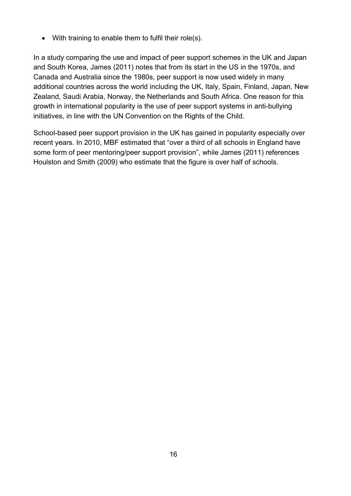• With training to enable them to fulfil their role(s).

In a study comparing the use and impact of peer support schemes in the UK and Japan and South Korea, James (2011) notes that from its start in the US in the 1970s, and Canada and Australia since the 1980s, peer support is now used widely in many additional countries across the world including the UK, Italy, Spain, Finland, Japan, New Zealand, Saudi Arabia, Norway, the Netherlands and South Africa. One reason for this growth in international popularity is the use of peer support systems in anti-bullying initiatives, in line with the UN Convention on the Rights of the Child.

School-based peer support provision in the UK has gained in popularity especially over recent years. In 2010, MBF estimated that "over a third of all schools in England have some form of peer mentoring/peer support provision", while James (2011) references Houlston and Smith (2009) who estimate that the figure is over half of schools.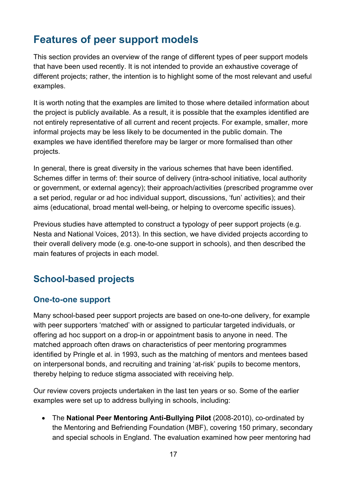# <span id="page-16-0"></span>**Features of peer support models**

This section provides an overview of the range of different types of peer support models that have been used recently. It is not intended to provide an exhaustive coverage of different projects; rather, the intention is to highlight some of the most relevant and useful examples.

It is worth noting that the examples are limited to those where detailed information about the project is publicly available. As a result, it is possible that the examples identified are not entirely representative of all current and recent projects. For example, smaller, more informal projects may be less likely to be documented in the public domain. The examples we have identified therefore may be larger or more formalised than other projects.

In general, there is great diversity in the various schemes that have been identified. Schemes differ in terms of: their source of delivery (intra-school initiative, local authority or government, or external agency); their approach/activities (prescribed programme over a set period, regular or ad hoc individual support, discussions, 'fun' activities); and their aims (educational, broad mental well-being, or helping to overcome specific issues).

Previous studies have attempted to construct a typology of peer support projects (e.g. Nesta and National Voices, 2013). In this section, we have divided projects according to their overall delivery mode (e.g. one-to-one support in schools), and then described the main features of projects in each model.

# <span id="page-16-1"></span>**School-based projects**

#### <span id="page-16-2"></span>**One-to-one support**

Many school-based peer support projects are based on one-to-one delivery, for example with peer supporters 'matched' with or assigned to particular targeted individuals, or offering ad hoc support on a drop-in or appointment basis to anyone in need. The matched approach often draws on characteristics of peer mentoring programmes identified by Pringle et al. in 1993, such as the matching of mentors and mentees based on interpersonal bonds, and recruiting and training 'at-risk' pupils to become mentors, thereby helping to reduce stigma associated with receiving help.

Our review covers projects undertaken in the last ten years or so. Some of the earlier examples were set up to address bullying in schools, including:

• The **National Peer Mentoring Anti-Bullying Pilot** (2008-2010), co-ordinated by the Mentoring and Befriending Foundation (MBF), covering 150 primary, secondary and special schools in England. The evaluation examined how peer mentoring had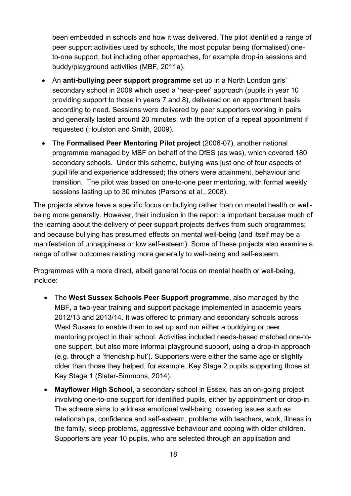been embedded in schools and how it was delivered. The pilot identified a range of peer support activities used by schools, the most popular being (formalised) oneto-one support, but including other approaches, for example drop-in sessions and buddy/playground activities (MBF, 2011a).

- An **anti-bullying peer support programme** set up in a North London girls' secondary school in 2009 which used a 'near-peer' approach (pupils in year 10 providing support to those in years 7 and 8), delivered on an appointment basis according to need. Sessions were delivered by peer supporters working in pairs and generally lasted around 20 minutes, with the option of a repeat appointment if requested (Houlston and Smith, 2009).
- The **Formalised Peer Mentoring Pilot project** (2006-07), another national programme managed by MBF on behalf of the DfES (as was), which covered 180 secondary schools. Under this scheme, bullying was just one of four aspects of pupil life and experience addressed; the others were attainment, behaviour and transition. The pilot was based on one-to-one peer mentoring, with formal weekly sessions lasting up to 30 minutes (Parsons et al., 2008).

The projects above have a specific focus on bullying rather than on mental health or wellbeing more generally. However, their inclusion in the report is important because much of the learning about the delivery of peer support projects derives from such programmes; and because bullying has presumed effects on mental well-being (and itself may be a manifestation of unhappiness or low self-esteem). Some of these projects also examine a range of other outcomes relating more generally to well-being and self-esteem.

Programmes with a more direct, albeit general focus on mental health or well-being, include:

- The **West Sussex Schools Peer Support programme**, also managed by the MBF, a two-year training and support package implemented in academic years 2012/13 and 2013/14. It was offered to primary and secondary schools across West Sussex to enable them to set up and run either a buddying or peer mentoring project in their school. Activities included needs-based matched one-toone support, but also more informal playground support, using a drop-in approach (e.g. through a 'friendship hut'). Supporters were either the same age or slightly older than those they helped, for example, Key Stage 2 pupils supporting those at Key Stage 1 (Slater-Simmons, 2014).
- **Mayflower High School**, a secondary school in Essex, has an on-going project involving one-to-one support for identified pupils, either by appointment or drop-in. The scheme aims to address emotional well-being, covering issues such as relationships, confidence and self-esteem, problems with teachers, work, illness in the family, sleep problems, aggressive behaviour and coping with older children. Supporters are year 10 pupils, who are selected through an application and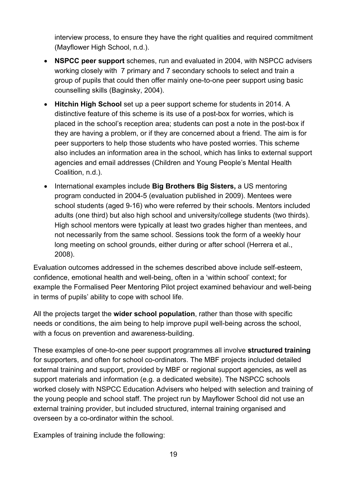interview process, to ensure they have the right qualities and required commitment (Mayflower High School, n.d.).

- **NSPCC peer support** schemes, run and evaluated in 2004, with NSPCC advisers working closely with 7 primary and 7 secondary schools to select and train a group of pupils that could then offer mainly one-to-one peer support using basic counselling skills (Baginsky, 2004).
- **Hitchin High School** set up a peer support scheme for students in 2014. A distinctive feature of this scheme is its use of a post-box for worries, which is placed in the school's reception area; students can post a note in the post-box if they are having a problem, or if they are concerned about a friend. The aim is for peer supporters to help those students who have posted worries. This scheme also includes an information area in the school, which has links to external support agencies and email addresses (Children and Young People's Mental Health Coalition, n.d.).
- International examples include **Big Brothers Big Sisters,** a US mentoring program conducted in 2004-5 (evaluation published in 2009). Mentees were school students (aged 9-16) who were referred by their schools. Mentors included adults (one third) but also high school and university/college students (two thirds). High school mentors were typically at least two grades higher than mentees, and not necessarily from the same school. Sessions took the form of a weekly hour long meeting on school grounds, either during or after school (Herrera et al., 2008).

Evaluation outcomes addressed in the schemes described above include self-esteem, confidence, emotional health and well-being, often in a 'within school' context; for example the Formalised Peer Mentoring Pilot project examined behaviour and well-being in terms of pupils' ability to cope with school life.

All the projects target the **wider school population**, rather than those with specific needs or conditions, the aim being to help improve pupil well-being across the school, with a focus on prevention and awareness-building.

These examples of one-to-one peer support programmes all involve **structured training** for supporters, and often for school co-ordinators. The MBF projects included detailed external training and support, provided by MBF or regional support agencies, as well as support materials and information (e.g. a dedicated website). The NSPCC schools worked closely with NSPCC Education Advisers who helped with selection and training of the young people and school staff. The project run by Mayflower School did not use an external training provider, but included structured, internal training organised and overseen by a co-ordinator within the school.

Examples of training include the following: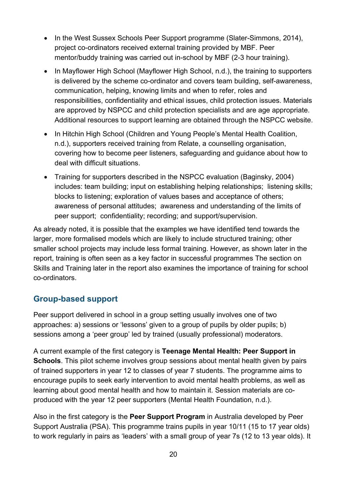- In the West Sussex Schools Peer Support programme (Slater-Simmons, 2014), project co-ordinators received external training provided by MBF. Peer mentor/buddy training was carried out in-school by MBF (2-3 hour training).
- In Mayflower High School (Mayflower High School, n.d.), the training to supporters is delivered by the scheme co-ordinator and covers team building, self-awareness, communication, helping, knowing limits and when to refer, roles and responsibilities, confidentiality and ethical issues, child protection issues. Materials are approved by NSPCC and child protection specialists and are age appropriate. Additional resources to support learning are obtained through the NSPCC website.
- In Hitchin High School (Children and Young People's Mental Health Coalition, n.d.), supporters received training from Relate, a counselling organisation, covering how to become peer listeners, safeguarding and guidance about how to deal with difficult situations.
- Training for supporters described in the NSPCC evaluation (Baginsky, 2004) includes: team building; input on establishing helping relationships; listening skills; blocks to listening; exploration of values bases and acceptance of others; awareness of personal attitudes; awareness and understanding of the limits of peer support; confidentiality; recording; and support/supervision.

As already noted, it is possible that the examples we have identified tend towards the larger, more formalised models which are likely to include structured training; other smaller school projects may include less formal training. However, as shown later in the report, training is often seen as a key factor in successful programmes The section on Skills and Training later in the report also examines the importance of training for school co-ordinators.

#### <span id="page-19-0"></span>**Group-based support**

Peer support delivered in school in a group setting usually involves one of two approaches: a) sessions or 'lessons' given to a group of pupils by older pupils; b) sessions among a 'peer group' led by trained (usually professional) moderators.

A current example of the first category is **Teenage Mental Health: Peer Support in Schools**. This pilot scheme involves group sessions about mental health given by pairs of trained supporters in year 12 to classes of year 7 students. The programme aims to encourage pupils to seek early intervention to avoid mental health problems, as well as learning about good mental health and how to maintain it. Session materials are coproduced with the year 12 peer supporters (Mental Health Foundation, n.d.).

Also in the first category is the **Peer Support Program** in Australia developed by Peer Support Australia (PSA). This programme trains pupils in year 10/11 (15 to 17 year olds) to work regularly in pairs as 'leaders' with a small group of year 7s (12 to 13 year olds). It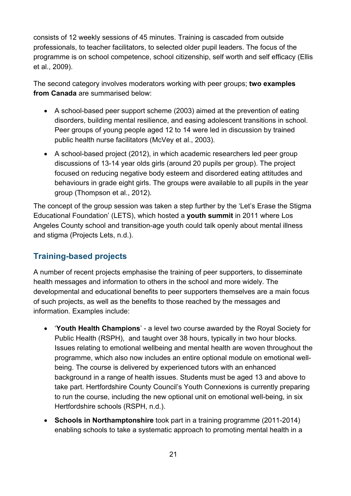consists of 12 weekly sessions of 45 minutes. Training is cascaded from outside professionals, to teacher facilitators, to selected older pupil leaders. The focus of the programme is on school competence, school citizenship, self worth and self efficacy (Ellis et al., 2009).

The second category involves moderators working with peer groups; **two examples from Canada** are summarised below:

- A school-based peer support scheme (2003) aimed at the prevention of eating disorders, building mental resilience, and easing adolescent transitions in school. Peer groups of young people aged 12 to 14 were led in discussion by trained public health nurse facilitators (McVey et al., 2003).
- A school-based project (2012), in which academic researchers led peer group discussions of 13-14 year olds girls (around 20 pupils per group). The project focused on reducing negative body esteem and disordered eating attitudes and behaviours in grade eight girls. The groups were available to all pupils in the year group (Thompson et al., 2012).

The concept of the group session was taken a step further by the 'Let's Erase the Stigma Educational Foundation' (LETS), which hosted a **youth summit** in 2011 where Los Angeles County school and transition-age youth could talk openly about mental illness and stigma (Projects Lets, n.d.).

#### <span id="page-20-0"></span>**Training-based projects**

A number of recent projects emphasise the training of peer supporters, to disseminate health messages and information to others in the school and more widely. The developmental and educational benefits to peer supporters themselves are a main focus of such projects, as well as the benefits to those reached by the messages and information. Examples include:

- '**Youth Health Champions**' a level two course awarded by the Royal Society for Public Health (RSPH), and taught over 38 hours, typically in two hour blocks. Issues relating to emotional wellbeing and mental health are woven throughout the programme, which also now includes an entire optional module on emotional wellbeing. The course is delivered by experienced tutors with an enhanced background in a range of health issues. Students must be aged 13 and above to take part. Hertfordshire County Council's Youth Connexions is currently preparing to run the course, including the new optional unit on emotional well-being, in six Hertfordshire schools (RSPH, n.d.).
- **Schools in Northamptonshire** took part in a training programme (2011-2014) enabling schools to take a systematic approach to promoting mental health in a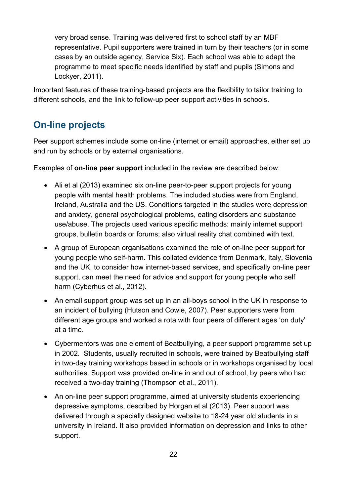very broad sense. Training was delivered first to school staff by an MBF representative. Pupil supporters were trained in turn by their teachers (or in some cases by an outside agency, Service Six). Each school was able to adapt the programme to meet specific needs identified by staff and pupils (Simons and Lockyer, 2011).

Important features of these training-based projects are the flexibility to tailor training to different schools, and the link to follow-up peer support activities in schools.

# <span id="page-21-0"></span>**On-line projects**

Peer support schemes include some on-line (internet or email) approaches, either set up and run by schools or by external organisations.

Examples of **on-line peer support** included in the review are described below:

- Ali et al (2013) examined six on-line peer-to-peer support projects for young people with mental health problems. The included studies were from England, Ireland, Australia and the US. Conditions targeted in the studies were depression and anxiety, general psychological problems, eating disorders and substance use/abuse. The projects used various specific methods: mainly internet support groups, bulletin boards or forums; also virtual reality chat combined with text.
- A group of European organisations examined the role of on-line peer support for young people who self-harm. This collated evidence from Denmark, Italy, Slovenia and the UK, to consider how internet-based services, and specifically on-line peer support, can meet the need for advice and support for young people who self harm (Cyberhus et al., 2012).
- An email support group was set up in an all-boys school in the UK in response to an incident of bullying (Hutson and Cowie, 2007). Peer supporters were from different age groups and worked a rota with four peers of different ages 'on duty' at a time.
- Cybermentors was one element of Beatbullying, a peer support programme set up in 2002. Students, usually recruited in schools, were trained by Beatbullying staff in two-day training workshops based in schools or in workshops organised by local authorities. Support was provided on-line in and out of school, by peers who had received a two-day training (Thompson et al., 2011).
- An on-line peer support programme, aimed at university students experiencing depressive symptoms, described by Horgan et al (2013). Peer support was delivered through a specially designed website to 18-24 year old students in a university in Ireland. It also provided information on depression and links to other support.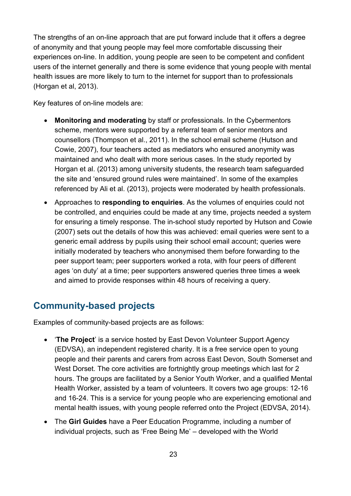The strengths of an on-line approach that are put forward include that it offers a degree of anonymity and that young people may feel more comfortable discussing their experiences on-line. In addition, young people are seen to be competent and confident users of the internet generally and there is some evidence that young people with mental health issues are more likely to turn to the internet for support than to professionals (Horgan et al, 2013).

Key features of on-line models are:

- **Monitoring and moderating** by staff or professionals. In the Cybermentors scheme, mentors were supported by a referral team of senior mentors and counsellors (Thompson et al., 2011). In the school email scheme (Hutson and Cowie, 2007), four teachers acted as mediators who ensured anonymity was maintained and who dealt with more serious cases. In the study reported by Horgan et al. (2013) among university students, the research team safeguarded the site and 'ensured ground rules were maintained'. In some of the examples referenced by Ali et al. (2013), projects were moderated by health professionals.
- Approaches to **responding to enquiries**. As the volumes of enquiries could not be controlled, and enquiries could be made at any time, projects needed a system for ensuring a timely response. The in-school study reported by Hutson and Cowie (2007) sets out the details of how this was achieved: email queries were sent to a generic email address by pupils using their school email account; queries were initially moderated by teachers who anonymised them before forwarding to the peer support team; peer supporters worked a rota, with four peers of different ages 'on duty' at a time; peer supporters answered queries three times a week and aimed to provide responses within 48 hours of receiving a query.

## <span id="page-22-0"></span>**Community-based projects**

Examples of community-based projects are as follows:

- '**The Project**' is a service hosted by East Devon Volunteer Support Agency (EDVSA), an independent registered charity. It is a free service open to young people and their parents and carers from across East Devon, South Somerset and West Dorset. The core activities are fortnightly group meetings which last for 2 hours. The groups are facilitated by a Senior Youth Worker, and a qualified Mental Health Worker, assisted by a team of volunteers. It covers two age groups: 12-16 and 16-24. This is a service for young people who are experiencing emotional and mental health issues, with young people referred onto the Project (EDVSA, 2014).
- The **Girl Guides** have a Peer Education Programme, including a number of individual projects, such as ['Free Being Me'](http://new.girlguiding.org.uk/latest-updates/making-a-difference/building-body-confidence) – developed with the World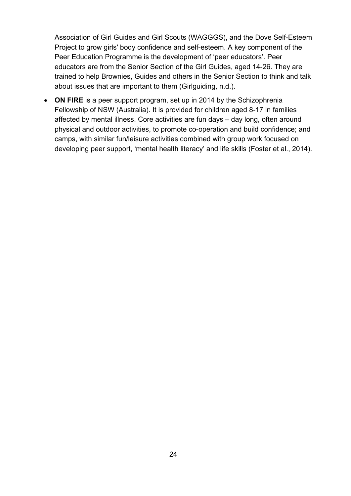Association of Girl Guides and Girl Scouts (WAGGGS), and the Dove Self-Esteem Project to grow girls' body confidence and self-esteem. A key component of the Peer Education Programme is the development of 'peer educators'. Peer educators are from the Senior Section of the Girl Guides, aged 14-26. They are trained to help Brownies, Guides and others in the Senior Section to think and talk about issues that are important to them (Girlguiding, n.d.).

• **ON FIRE** is a peer support program, set up in 2014 by the Schizophrenia Fellowship of NSW (Australia). It is provided for children aged 8-17 in families affected by mental illness. Core activities are fun days – day long, often around physical and outdoor activities, to promote co-operation and build confidence; and camps, with similar fun/leisure activities combined with group work focused on developing peer support, 'mental health literacy' and life skills (Foster et al., 2014).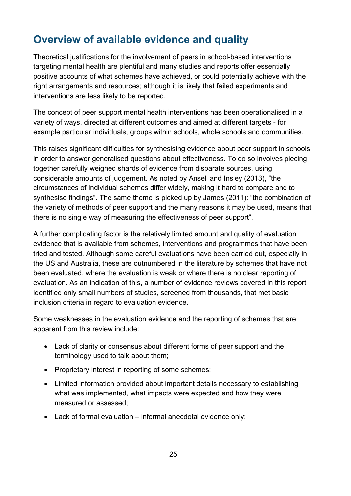# <span id="page-24-0"></span>**Overview of available evidence and quality**

Theoretical justifications for the involvement of peers in school-based interventions targeting mental health are plentiful and many studies and reports offer essentially positive accounts of what schemes have achieved, or could potentially achieve with the right arrangements and resources; although it is likely that failed experiments and interventions are less likely to be reported.

The concept of peer support mental health interventions has been operationalised in a variety of ways, directed at different outcomes and aimed at different targets - for example particular individuals, groups within schools, whole schools and communities.

This raises significant difficulties for synthesising evidence about peer support in schools in order to answer generalised questions about effectiveness. To do so involves piecing together carefully weighed shards of evidence from disparate sources, using considerable amounts of judgement. As noted by Ansell and Insley (2013), "the circumstances of individual schemes differ widely, making it hard to compare and to synthesise findings". The same theme is picked up by James (2011): "the combination of the variety of methods of peer support and the many reasons it may be used, means that there is no single way of measuring the effectiveness of peer support".

A further complicating factor is the relatively limited amount and quality of evaluation evidence that is available from schemes, interventions and programmes that have been tried and tested. Although some careful evaluations have been carried out, especially in the US and Australia, these are outnumbered in the literature by schemes that have not been evaluated, where the evaluation is weak or where there is no clear reporting of evaluation. As an indication of this, a number of evidence reviews covered in this report identified only small numbers of studies, screened from thousands, that met basic inclusion criteria in regard to evaluation evidence.

Some weaknesses in the evaluation evidence and the reporting of schemes that are apparent from this review include:

- Lack of clarity or consensus about different forms of peer support and the terminology used to talk about them;
- Proprietary interest in reporting of some schemes;
- Limited information provided about important details necessary to establishing what was implemented, what impacts were expected and how they were measured or assessed;
- Lack of formal evaluation informal anecdotal evidence only;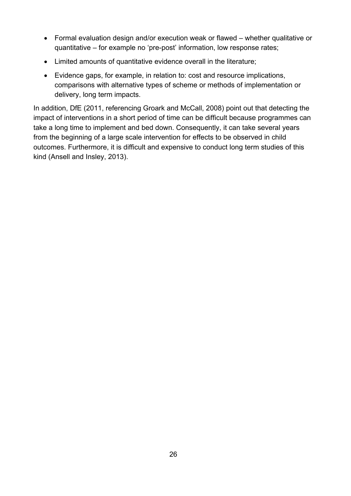- Formal evaluation design and/or execution weak or flawed whether qualitative or quantitative – for example no 'pre-post' information, low response rates;
- Limited amounts of quantitative evidence overall in the literature;
- Evidence gaps, for example, in relation to: cost and resource implications, comparisons with alternative types of scheme or methods of implementation or delivery, long term impacts.

In addition, DfE (2011, referencing Groark and McCall, 2008) point out that detecting the impact of interventions in a short period of time can be difficult because programmes can take a long time to implement and bed down. Consequently, it can take several years from the beginning of a large scale intervention for effects to be observed in child outcomes. Furthermore, it is difficult and expensive to conduct long term studies of this kind (Ansell and Insley, 2013).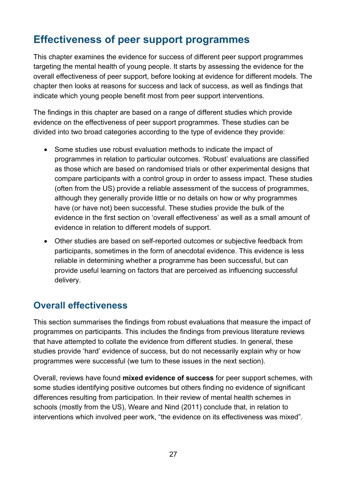# <span id="page-26-0"></span>**Effectiveness of peer support programmes**

This chapter examines the evidence for success of different peer support programmes targeting the mental health of young people. It starts by assessing the evidence for the overall effectiveness of peer support, before looking at evidence for different models. The chapter then looks at reasons for success and lack of success, as well as findings that indicate which young people benefit most from peer support interventions.

The findings in this chapter are based on a range of different studies which provide evidence on the effectiveness of peer support programmes. These studies can be divided into two broad categories according to the type of evidence they provide:

- Some studies use robust evaluation methods to indicate the impact of programmes in relation to particular outcomes. 'Robust' evaluations are classified as those which are based on randomised trials or other experimental designs that compare participants with a control group in order to assess impact. These studies (often from the US) provide a reliable assessment of the success of programmes, although they generally provide little or no details on how or why programmes have (or have not) been successful. These studies provide the bulk of the evidence in the first section on 'overall effectiveness' as well as a small amount of evidence in relation to different models of support.
- Other studies are based on self-reported outcomes or subjective feedback from participants, sometimes in the form of anecdotal evidence. This evidence is less reliable in determining whether a programme has been successful, but can provide useful learning on factors that are perceived as influencing successful delivery.

## <span id="page-26-1"></span>**Overall effectiveness**

This section summarises the findings from robust evaluations that measure the impact of programmes on participants. This includes the findings from previous literature reviews that have attempted to collate the evidence from different studies. In general, these studies provide 'hard' evidence of success, but do not necessarily explain why or how programmes were successful (we turn to these issues in the next section).

Overall, reviews have found **mixed evidence of success** for peer support schemes, with some studies identifying positive outcomes but others finding no evidence of significant differences resulting from participation. In their review of mental health schemes in schools (mostly from the US), Weare and Nind (2011) conclude that, in relation to interventions which involved peer work, "the evidence on its effectiveness was mixed".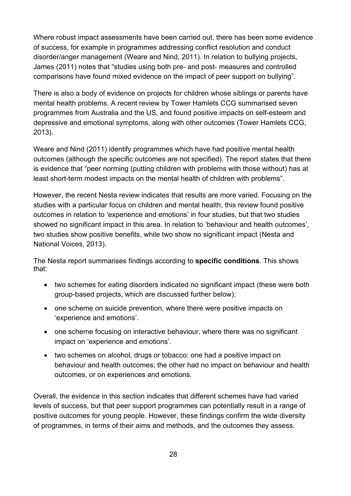Where robust impact assessments have been carried out, there has been some evidence of success, for example in programmes addressing conflict resolution and conduct disorder/anger management (Weare and Nind, 2011). In relation to bullying projects, James (2011) notes that "studies using both pre- and post- measures and controlled comparisons have found mixed evidence on the impact of peer support on bullying".

There is also a body of evidence on projects for children whose siblings or parents have mental health problems. A recent review by Tower Hamlets CCG summarised seven programmes from Australia and the US, and found positive impacts on self-esteem and depressive and emotional symptoms, along with other outcomes (Tower Hamlets CCG, 2013).

Weare and Nind (2011) identify programmes which have had positive mental health outcomes (although the specific outcomes are not specified). The report states that there is evidence that "peer norming (putting children with problems with those without) has at least short-term modest impacts on the mental health of children with problems".

However, the recent Nesta review indicates that results are more varied. Focusing on the studies with a particular focus on children and mental health, this review found positive outcomes in relation to 'experience and emotions' in four studies, but that two studies showed no significant impact in this area. In relation to 'behaviour and health outcomes', two studies show positive benefits, while two show no significant impact (Nesta and National Voices, 2013).

The Nesta report summarises findings according to **specific conditions**. This shows that:

- two schemes for eating disorders indicated no significant impact (these were both group-based projects, which are discussed further below);
- one scheme on suicide prevention, where there were positive impacts on 'experience and emotions'.
- one scheme focusing on interactive behaviour, where there was no significant impact on 'experience and emotions'.
- two schemes on alcohol, drugs or tobacco: one had a positive impact on behaviour and health outcomes; the other had no impact on behaviour and health outcomes, or on experiences and emotions.

Overall, the evidence in this section indicates that different schemes have had varied levels of success, but that peer support programmes can potentially result in a range of positive outcomes for young people. However, these findings confirm the wide diversity of programmes, in terms of their aims and methods, and the outcomes they assess.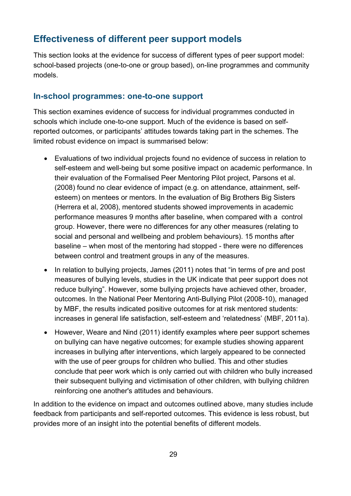## <span id="page-28-0"></span>**Effectiveness of different peer support models**

This section looks at the evidence for success of different types of peer support model: school-based projects (one-to-one or group based), on-line programmes and community models.

#### <span id="page-28-1"></span>**In-school programmes: one-to-one support**

This section examines evidence of success for individual programmes conducted in schools which include one-to-one support. Much of the evidence is based on selfreported outcomes, or participants' attitudes towards taking part in the schemes. The limited robust evidence on impact is summarised below:

- Evaluations of two individual projects found no evidence of success in relation to self-esteem and well-being but some positive impact on academic performance. In their evaluation of the Formalised Peer Mentoring Pilot project, Parsons et al. (2008) found no clear evidence of impact (e.g. on attendance, attainment, selfesteem) on mentees or mentors. In the evaluation of Big Brothers Big Sisters (Herrera et al, 2008), mentored students showed improvements in academic performance measures 9 months after baseline, when compared with a control group. However, there were no differences for any other measures (relating to social and personal and wellbeing and problem behaviours). 15 months after baseline – when most of the mentoring had stopped - there were no differences between control and treatment groups in any of the measures.
- In relation to bullying projects, James (2011) notes that "in terms of pre and post measures of bullying levels, studies in the UK indicate that peer support does not reduce bullying". However, some bullying projects have achieved other, broader, outcomes. In the National Peer Mentoring Anti-Bullying Pilot (2008-10), managed by MBF, the results indicated positive outcomes for at risk mentored students: increases in general life satisfaction, self-esteem and 'relatedness' (MBF, 2011a).
- However, Weare and Nind (2011) identify examples where peer support schemes on bullying can have negative outcomes; for example studies showing apparent increases in bullying after interventions, which largely appeared to be connected with the use of peer groups for children who bullied. This and other studies conclude that peer work which is only carried out with children who bully increased their subsequent bullying and victimisation of other children, with bullying children reinforcing one another's attitudes and behaviours.

In addition to the evidence on impact and outcomes outlined above, many studies include feedback from participants and self-reported outcomes. This evidence is less robust, but provides more of an insight into the potential benefits of different models.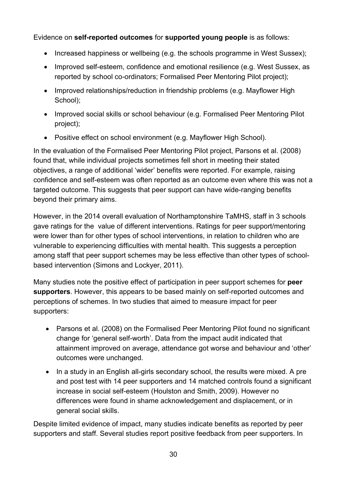Evidence on **self-reported outcomes** for **supported young people** is as follows:

- Increased happiness or wellbeing (e.g. the schools programme in West Sussex);
- Improved self-esteem, confidence and emotional resilience (e.g. West Sussex, as reported by school co-ordinators; Formalised Peer Mentoring Pilot project);
- Improved relationships/reduction in friendship problems (e.g. Mayflower High School);
- Improved social skills or school behaviour (e.g. Formalised Peer Mentoring Pilot project);
- Positive effect on school environment (e.g. Mayflower High School).

In the evaluation of the Formalised Peer Mentoring Pilot project, Parsons et al. (2008) found that, while individual projects sometimes fell short in meeting their stated objectives, a range of additional 'wider' benefits were reported. For example, raising confidence and self-esteem was often reported as an outcome even where this was not a targeted outcome. This suggests that peer support can have wide-ranging benefits beyond their primary aims.

However, in the 2014 overall evaluation of Northamptonshire TaMHS, staff in 3 schools gave ratings for the value of different interventions. Ratings for peer support/mentoring were lower than for other types of school interventions, in relation to children who are vulnerable to experiencing difficulties with mental health. This suggests a perception among staff that peer support schemes may be less effective than other types of schoolbased intervention (Simons and Lockyer, 2011).

Many studies note the positive effect of participation in peer support schemes for **peer supporters**. However, this appears to be based mainly on self-reported outcomes and perceptions of schemes. In two studies that aimed to measure impact for peer supporters:

- Parsons et al. (2008) on the Formalised Peer Mentoring Pilot found no significant change for 'general self-worth'. Data from the impact audit indicated that attainment improved on average, attendance got worse and behaviour and 'other' outcomes were unchanged.
- In a study in an English all-girls secondary school, the results were mixed. A pre and post test with 14 peer supporters and 14 matched controls found a significant increase in social self-esteem (Houlston and Smith, 2009). However no differences were found in shame acknowledgement and displacement, or in general social skills.

Despite limited evidence of impact, many studies indicate benefits as reported by peer supporters and staff. Several studies report positive feedback from peer supporters. In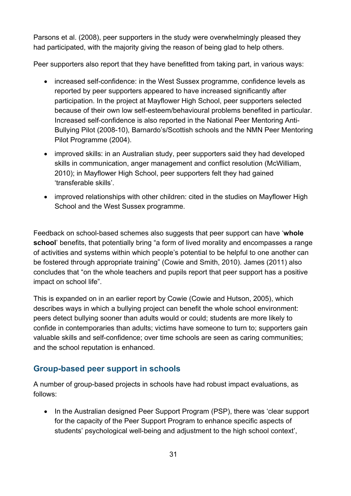Parsons et al. (2008), peer supporters in the study were overwhelmingly pleased they had participated, with the majority giving the reason of being glad to help others.

Peer supporters also report that they have benefitted from taking part, in various ways:

- increased self-confidence: in the West Sussex programme, confidence levels as reported by peer supporters appeared to have increased significantly after participation. In the project at Mayflower High School, peer supporters selected because of their own low self-esteem/behavioural problems benefited in particular. Increased self-confidence is also reported in the National Peer Mentoring Anti-Bullying Pilot (2008-10), Barnardo's/Scottish schools and the NMN Peer Mentoring Pilot Programme (2004).
- improved skills: in an Australian study, peer supporters said they had developed skills in communication, anger management and conflict resolution (McWilliam, 2010); in Mayflower High School, peer supporters felt they had gained 'transferable skills'.
- improved relationships with other children: cited in the studies on Mayflower High School and the West Sussex programme.

Feedback on school-based schemes also suggests that peer support can have '**whole school**' benefits, that potentially bring "a form of lived morality and encompasses a range of activities and systems within which people's potential to be helpful to one another can be fostered through appropriate training" (Cowie and Smith, 2010). James (2011) also concludes that "on the whole teachers and pupils report that peer support has a positive impact on school life".

This is expanded on in an earlier report by Cowie (Cowie and Hutson, 2005), which describes ways in which a bullying project can benefit the whole school environment: peers detect bullying sooner than adults would or could; students are more likely to confide in contemporaries than adults; victims have someone to turn to; supporters gain valuable skills and self-confidence; over time schools are seen as caring communities; and the school reputation is enhanced.

#### <span id="page-30-0"></span>**Group-based peer support in schools**

A number of group-based projects in schools have had robust impact evaluations, as follows:

• In the Australian designed Peer Support Program (PSP), there was 'clear support for the capacity of the Peer Support Program to enhance specific aspects of students' psychological well-being and adjustment to the high school context',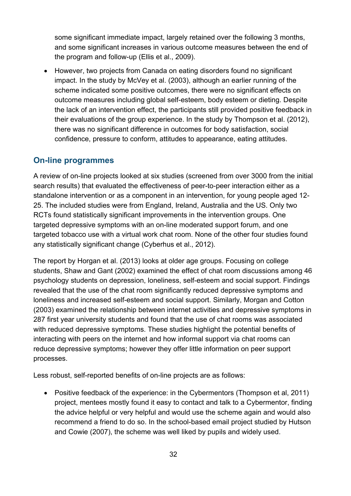some significant immediate impact, largely retained over the following 3 months, and some significant increases in various outcome measures between the end of the program and follow-up (Ellis et al., 2009).

• However, two projects from Canada on eating disorders found no significant impact. In the study by McVey et al. (2003), although an earlier running of the scheme indicated some positive outcomes, there were no significant effects on outcome measures including global self-esteem, body esteem or dieting. Despite the lack of an intervention effect, the participants still provided positive feedback in their evaluations of the group experience. In the study by Thompson et al. (2012), there was no significant difference in outcomes for body satisfaction, social confidence, pressure to conform, attitudes to appearance, eating attitudes.

#### <span id="page-31-0"></span>**On-line programmes**

A review of on-line projects looked at six studies (screened from over 3000 from the initial search results) that evaluated the effectiveness of peer-to-peer interaction either as a standalone intervention or as a component in an intervention, for young people aged 12- 25. The included studies were from England, Ireland, Australia and the US. Only two RCTs found statistically significant improvements in the intervention groups. One targeted depressive symptoms with an on-line moderated support forum, and one targeted tobacco use with a virtual work chat room. None of the other four studies found any statistically significant change (Cyberhus et al., 2012).

The report by Horgan et al. (2013) looks at older age groups. Focusing on college students, Shaw and Gant (2002) examined the effect of chat room discussions among 46 psychology students on depression, loneliness, self-esteem and social support. Findings revealed that the use of the chat room significantly reduced depressive symptoms and loneliness and increased self-esteem and social support. Similarly, Morgan and Cotton (2003) examined the relationship between internet activities and depressive symptoms in 287 first year university students and found that the use of chat rooms was associated with reduced depressive symptoms. These studies highlight the potential benefits of interacting with peers on the internet and how informal support via chat rooms can reduce depressive symptoms; however they offer little information on peer support processes.

Less robust, self-reported benefits of on-line projects are as follows:

• Positive feedback of the experience: in the Cybermentors (Thompson et al, 2011) project, mentees mostly found it easy to contact and talk to a Cybermentor, finding the advice helpful or very helpful and would use the scheme again and would also recommend a friend to do so. In the school-based email project studied by Hutson and Cowie (2007), the scheme was well liked by pupils and widely used.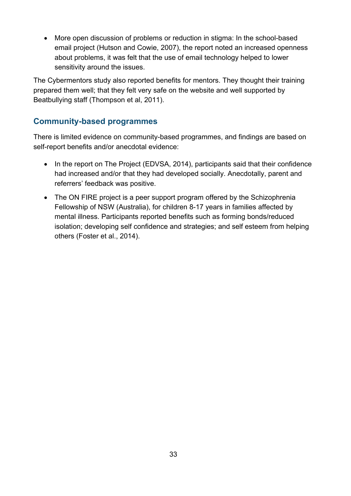• More open discussion of problems or reduction in stigma: In the school-based email project (Hutson and Cowie, 2007), the report noted an increased openness about problems, it was felt that the use of email technology helped to lower sensitivity around the issues.

The Cybermentors study also reported benefits for mentors. They thought their training prepared them well; that they felt very safe on the website and well supported by Beatbullying staff (Thompson et al, 2011).

#### <span id="page-32-0"></span>**Community-based programmes**

There is limited evidence on community-based programmes, and findings are based on self-report benefits and/or anecdotal evidence:

- In the report on The Project (EDVSA, 2014), participants said that their confidence had increased and/or that they had developed socially. Anecdotally, parent and referrers' feedback was positive.
- The ON FIRE project is a peer support program offered by the Schizophrenia Fellowship of NSW (Australia), for children 8-17 years in families affected by mental illness. Participants reported benefits such as forming bonds/reduced isolation; developing self confidence and strategies; and self esteem from helping others (Foster et al., 2014).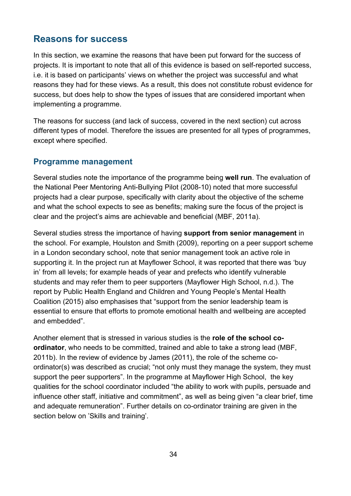## <span id="page-33-0"></span>**Reasons for success**

In this section, we examine the reasons that have been put forward for the success of projects. It is important to note that all of this evidence is based on self-reported success, i.e. it is based on participants' views on whether the project was successful and what reasons they had for these views. As a result, this does not constitute robust evidence for success, but does help to show the types of issues that are considered important when implementing a programme.

The reasons for success (and lack of success, covered in the next section) cut across different types of model. Therefore the issues are presented for all types of programmes, except where specified.

#### <span id="page-33-1"></span>**Programme management**

Several studies note the importance of the programme being **well run**. The evaluation of the National Peer Mentoring Anti-Bullying Pilot (2008-10) noted that more successful projects had a clear purpose, specifically with clarity about the objective of the scheme and what the school expects to see as benefits; making sure the focus of the project is clear and the project's aims are achievable and beneficial (MBF, 2011a).

Several studies stress the importance of having **support from senior management** in the school. For example, Houlston and Smith (2009), reporting on a peer support scheme in a London secondary school, note that senior management took an active role in supporting it. In the project run at Mayflower School, it was reported that there was 'buy in' from all levels; for example heads of year and prefects who identify vulnerable students and may refer them to peer supporters (Mayflower High School, n.d.). The report by Public Health England and Children and Young People's Mental Health Coalition (2015) also emphasises that "support from the senior leadership team is essential to ensure that efforts to promote emotional health and wellbeing are accepted and embedded".

Another element that is stressed in various studies is the **role of the school coordinator**, who needs to be committed, trained and able to take a strong lead (MBF, 2011b). In the review of evidence by James (2011), the role of the scheme coordinator(s) was described as crucial; "not only must they manage the system, they must support the peer supporters". In the programme at Mayflower High School, the key qualities for the school coordinator included "the ability to work with pupils, persuade and influence other staff, initiative and commitment", as well as being given "a clear brief, time and adequate remuneration". Further details on co-ordinator training are given in the section below on 'Skills and training'.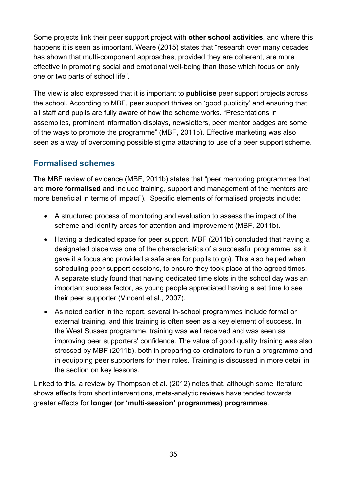Some projects link their peer support project with **other school activities**, and where this happens it is seen as important. Weare (2015) states that "research over many decades has shown that multi-component approaches, provided they are coherent, are more effective in promoting social and emotional well-being than those which focus on only one or two parts of school life".

The view is also expressed that it is important to **publicise** peer support projects across the school. According to MBF, peer support thrives on 'good publicity' and ensuring that all staff and pupils are fully aware of how the scheme works. "Presentations in assemblies, prominent information displays, newsletters, peer mentor badges are some of the ways to promote the programme" (MBF, 2011b). Effective marketing was also seen as a way of overcoming possible stigma attaching to use of a peer support scheme.

#### <span id="page-34-0"></span>**Formalised schemes**

The MBF review of evidence (MBF, 2011b) states that "peer mentoring programmes that are **more formalised** and include training, support and management of the mentors are more beneficial in terms of impact"). Specific elements of formalised projects include:

- A structured process of monitoring and evaluation to assess the impact of the scheme and identify areas for attention and improvement (MBF, 2011b).
- Having a dedicated space for peer support. MBF (2011b) concluded that having a designated place was one of the characteristics of a successful programme, as it gave it a focus and provided a safe area for pupils to go). This also helped when scheduling peer support sessions, to ensure they took place at the agreed times. A separate study found that having dedicated time slots in the school day was an important success factor, as young people appreciated having a set time to see their peer supporter (Vincent et al., 2007).
- As noted earlier in the report, several in-school programmes include formal or external training, and this training is often seen as a key element of success. In the West Sussex programme, training was well received and was seen as improving peer supporters' confidence. The value of good quality training was also stressed by MBF (2011b), both in preparing co-ordinators to run a programme and in equipping peer supporters for their roles. Training is discussed in more detail in the section on key lessons.

Linked to this, a review by Thompson et al. (2012) notes that, although some literature shows effects from short interventions, meta-analytic reviews have tended towards greater effects for **longer (or 'multi-session' programmes) programmes**.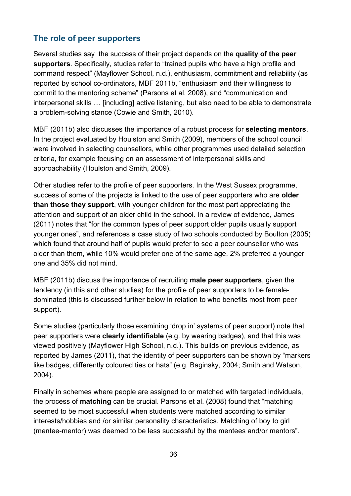#### <span id="page-35-0"></span>**The role of peer supporters**

Several studies say the success of their project depends on the **quality of the peer supporters**. Specifically, studies refer to "trained pupils who have a high profile and command respect" (Mayflower School, n.d.), enthusiasm, commitment and reliability (as reported by school co-ordinators, MBF 2011b, "enthusiasm and their willingness to commit to the mentoring scheme" (Parsons et al, 2008), and "communication and interpersonal skills … [including] active listening, but also need to be able to demonstrate a problem-solving stance (Cowie and Smith, 2010).

MBF (2011b) also discusses the importance of a robust process for **selecting mentors**. In the project evaluated by Houlston and Smith (2009), members of the school council were involved in selecting counsellors, while other programmes used detailed selection criteria, for example focusing on an assessment of interpersonal skills and approachability (Houlston and Smith, 2009).

Other studies refer to the profile of peer supporters. In the West Sussex programme, success of some of the projects is linked to the use of peer supporters who are **older than those they support**, with younger children for the most part appreciating the attention and support of an older child in the school. In a review of evidence, James (2011) notes that "for the common types of peer support older pupils usually support younger ones", and references a case study of two schools conducted by Boulton (2005) which found that around half of pupils would prefer to see a peer counsellor who was older than them, while 10% would prefer one of the same age, 2% preferred a younger one and 35% did not mind.

MBF (2011b) discuss the importance of recruiting **male peer supporters**, given the tendency (in this and other studies) for the profile of peer supporters to be femaledominated (this is discussed further below in relation to who benefits most from peer support).

Some studies (particularly those examining 'drop in' systems of peer support) note that peer supporters were **clearly identifiable** (e.g. by wearing badges), and that this was viewed positively (Mayflower High School, n.d.). This builds on previous evidence, as reported by James (2011), that the identity of peer supporters can be shown by "markers like badges, differently coloured ties or hats" (e.g. Baginsky, 2004; Smith and Watson, 2004).

Finally in schemes where people are assigned to or matched with targeted individuals, the process of **matching** can be crucial. Parsons et al. (2008) found that "matching seemed to be most successful when students were matched according to similar interests/hobbies and /or similar personality characteristics. Matching of boy to girl (mentee-mentor) was deemed to be less successful by the mentees and/or mentors".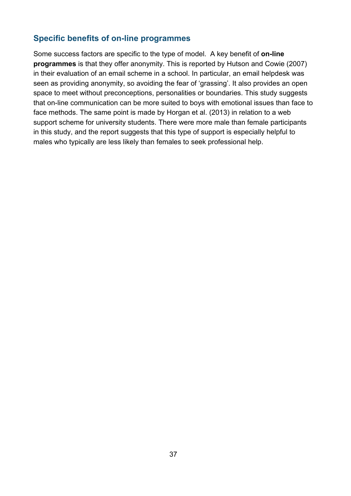#### <span id="page-36-0"></span>**Specific benefits of on-line programmes**

Some success factors are specific to the type of model. A key benefit of **on-line programmes** is that they offer anonymity. This is reported by Hutson and Cowie (2007) in their evaluation of an email scheme in a school. In particular, an email helpdesk was seen as providing anonymity, so avoiding the fear of 'grassing'. It also provides an open space to meet without preconceptions, personalities or boundaries. This study suggests that on-line communication can be more suited to boys with emotional issues than face to face methods. The same point is made by Horgan et al. (2013) in relation to a web support scheme for university students. There were more male than female participants in this study, and the report suggests that this type of support is especially helpful to males who typically are less likely than females to seek professional help.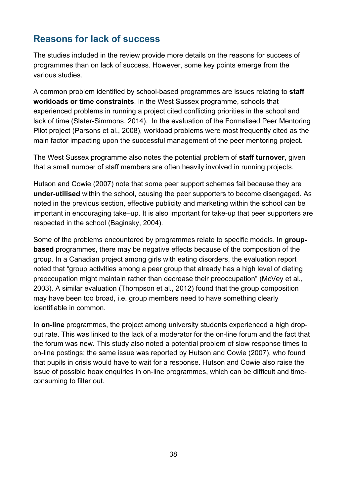## <span id="page-37-0"></span>**Reasons for lack of success**

The studies included in the review provide more details on the reasons for success of programmes than on lack of success. However, some key points emerge from the various studies.

A common problem identified by school-based programmes are issues relating to **staff workloads or time constraints**. In the West Sussex programme, schools that experienced problems in running a project cited conflicting priorities in the school and lack of time (Slater-Simmons, 2014). In the evaluation of the Formalised Peer Mentoring Pilot project (Parsons et al., 2008), workload problems were most frequently cited as the main factor impacting upon the successful management of the peer mentoring project.

The West Sussex programme also notes the potential problem of **staff turnover**, given that a small number of staff members are often heavily involved in running projects.

Hutson and Cowie (2007) note that some peer support schemes fail because they are **under-utilised** within the school, causing the peer supporters to become disengaged. As noted in the previous section, effective publicity and marketing within the school can be important in encouraging take–up. It is also important for take-up that peer supporters are respected in the school (Baginsky, 2004).

Some of the problems encountered by programmes relate to specific models. In **groupbased** programmes, there may be negative effects because of the composition of the group. In a Canadian project among girls with eating disorders, the evaluation report noted that "group activities among a peer group that already has a high level of dieting preoccupation might maintain rather than decrease their preoccupation" (McVey et al., 2003). A similar evaluation (Thompson et al., 2012) found that the group composition may have been too broad, i.e. group members need to have something clearly identifiable in common.

In **on-line** programmes, the project among university students experienced a high dropout rate. This was linked to the lack of a moderator for the on-line forum and the fact that the forum was new. This study also noted a potential problem of slow response times to on-line postings; the same issue was reported by Hutson and Cowie (2007), who found that pupils in crisis would have to wait for a response. Hutson and Cowie also raise the issue of possible hoax enquiries in on-line programmes, which can be difficult and timeconsuming to filter out.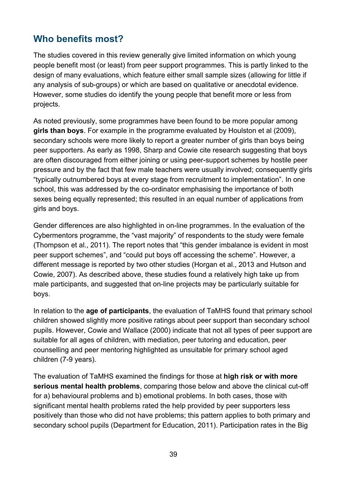## <span id="page-38-0"></span>**Who benefits most?**

The studies covered in this review generally give limited information on which young people benefit most (or least) from peer support programmes. This is partly linked to the design of many evaluations, which feature either small sample sizes (allowing for little if any analysis of sub-groups) or which are based on qualitative or anecdotal evidence. However, some studies do identify the young people that benefit more or less from projects.

As noted previously, some programmes have been found to be more popular among **girls than boys**. For example in the programme evaluated by Houlston et al (2009), secondary schools were more likely to report a greater number of girls than boys being peer supporters. As early as 1998, Sharp and Cowie cite research suggesting that boys are often discouraged from either joining or using peer-support schemes by hostile peer pressure and by the fact that few male teachers were usually involved; consequently girls "typically outnumbered boys at every stage from recruitment to implementation". In one school, this was addressed by the co-ordinator emphasising the importance of both sexes being equally represented; this resulted in an equal number of applications from girls and boys.

Gender differences are also highlighted in on-line programmes. In the evaluation of the Cybermentors programme, the "vast majority" of respondents to the study were female (Thompson et al., 2011). The report notes that "this gender imbalance is evident in most peer support schemes", and "could put boys off accessing the scheme". However, a different message is reported by two other studies (Horgan et al., 2013 and Hutson and Cowie, 2007). As described above, these studies found a relatively high take up from male participants, and suggested that on-line projects may be particularly suitable for boys.

In relation to the **age of participants**, the evaluation of TaMHS found that primary school children showed slightly more positive ratings about peer support than secondary school pupils. However, Cowie and Wallace (2000) indicate that not all types of peer support are suitable for all ages of children, with mediation, peer tutoring and education, peer counselling and peer mentoring highlighted as unsuitable for primary school aged children (7-9 years).

The evaluation of TaMHS examined the findings for those at **high risk or with more serious mental health problems**, comparing those below and above the clinical cut-off for a) behavioural problems and b) emotional problems. In both cases, those with significant mental health problems rated the help provided by peer supporters less positively than those who did not have problems; this pattern applies to both primary and secondary school pupils (Department for Education, 2011). Participation rates in the Big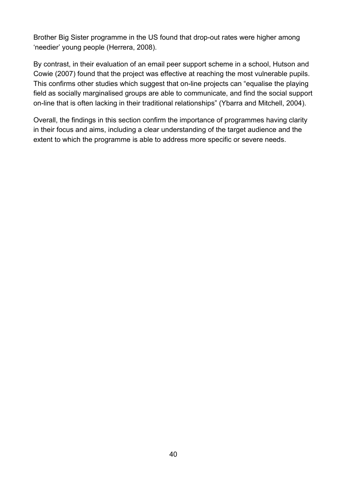Brother Big Sister programme in the US found that drop-out rates were higher among 'needier' young people (Herrera, 2008).

By contrast, in their evaluation of an email peer support scheme in a school, Hutson and Cowie (2007) found that the project was effective at reaching the most vulnerable pupils. This confirms other studies which suggest that on-line projects can "equalise the playing field as socially marginalised groups are able to communicate, and find the social support on-line that is often lacking in their traditional relationships" (Ybarra and Mitchell, 2004).

Overall, the findings in this section confirm the importance of programmes having clarity in their focus and aims, including a clear understanding of the target audience and the extent to which the programme is able to address more specific or severe needs.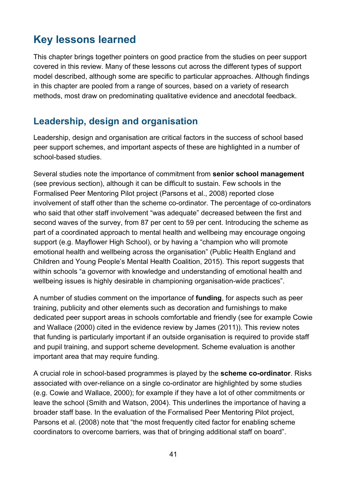# <span id="page-40-0"></span>**Key lessons learned**

This chapter brings together pointers on good practice from the studies on peer support covered in this review. Many of these lessons cut across the different types of support model described, although some are specific to particular approaches. Although findings in this chapter are pooled from a range of sources, based on a variety of research methods, most draw on predominating qualitative evidence and anecdotal feedback.

## <span id="page-40-1"></span>**Leadership, design and organisation**

Leadership, design and organisation are critical factors in the success of school based peer support schemes, and important aspects of these are highlighted in a number of school-based studies.

Several studies note the importance of commitment from **senior school management**  (see previous section), although it can be difficult to sustain. Few schools in the Formalised Peer Mentoring Pilot project (Parsons et al., 2008) reported close involvement of staff other than the scheme co-ordinator. The percentage of co-ordinators who said that other staff involvement "was adequate" decreased between the first and second waves of the survey, from 87 per cent to 59 per cent. Introducing the scheme as part of a coordinated approach to mental health and wellbeing may encourage ongoing support (e.g. Mayflower High School), or by having a "champion who will promote emotional health and wellbeing across the organisation" (Public Health England and Children and Young People's Mental Health Coalition, 2015). This report suggests that within schools "a governor with knowledge and understanding of emotional health and wellbeing issues is highly desirable in championing organisation-wide practices".

A number of studies comment on the importance of **funding**, for aspects such as peer training, publicity and other elements such as decoration and furnishings to make dedicated peer support areas in schools comfortable and friendly (see for example Cowie and Wallace (2000) cited in the evidence review by James (2011)). This review notes that funding is particularly important if an outside organisation is required to provide staff and pupil training, and support scheme development. Scheme evaluation is another important area that may require funding.

A crucial role in school-based programmes is played by the **scheme co-ordinator**. Risks associated with over-reliance on a single co-ordinator are highlighted by some studies (e.g. Cowie and Wallace, 2000); for example if they have a lot of other commitments or leave the school (Smith and Watson, 2004). This underlines the importance of having a broader staff base. In the evaluation of the Formalised Peer Mentoring Pilot project, Parsons et al. (2008) note that "the most frequently cited factor for enabling scheme coordinators to overcome barriers, was that of bringing additional staff on board".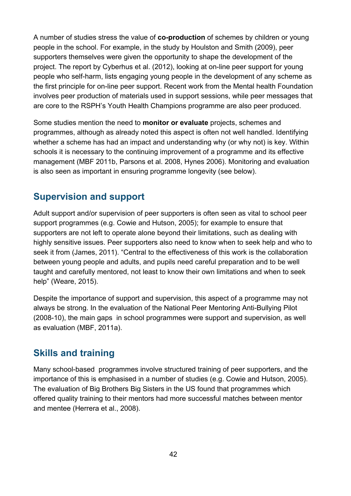A number of studies stress the value of **co-production** of schemes by children or young people in the school. For example, in the study by Houlston and Smith (2009), peer supporters themselves were given the opportunity to shape the development of the project. The report by Cyberhus et al. (2012), looking at on-line peer support for young people who self-harm, lists engaging young people in the development of any scheme as the first principle for on-line peer support. Recent work from the Mental health Foundation involves peer production of materials used in support sessions, while peer messages that are core to the RSPH's Youth Health Champions programme are also peer produced.

Some studies mention the need to **monitor or evaluate** projects, schemes and programmes, although as already noted this aspect is often not well handled. Identifying whether a scheme has had an impact and understanding why (or why not) is key. Within schools it is necessary to the continuing improvement of a programme and its effective management (MBF 2011b, Parsons et al. 2008, Hynes 2006). Monitoring and evaluation is also seen as important in ensuring programme longevity (see below).

## <span id="page-41-0"></span>**Supervision and support**

Adult support and/or supervision of peer supporters is often seen as vital to school peer support programmes (e.g. Cowie and Hutson, 2005); for example to ensure that supporters are not left to operate alone beyond their limitations, such as dealing with highly sensitive issues. Peer supporters also need to know when to seek help and who to seek it from (James, 2011). "Central to the effectiveness of this work is the collaboration between young people and adults, and pupils need careful preparation and to be well taught and carefully mentored, not least to know their own limitations and when to seek help" (Weare, 2015).

Despite the importance of support and supervision, this aspect of a programme may not always be strong. In the evaluation of the National Peer Mentoring Anti-Bullying Pilot (2008-10), the main gaps in school programmes were support and supervision, as well as evaluation (MBF, 2011a).

## <span id="page-41-1"></span>**Skills and training**

Many school-based programmes involve structured training of peer supporters, and the importance of this is emphasised in a number of studies (e.g. Cowie and Hutson, 2005). The evaluation of Big Brothers Big Sisters in the US found that programmes which offered quality training to their mentors had more successful matches between mentor and mentee (Herrera et al., 2008).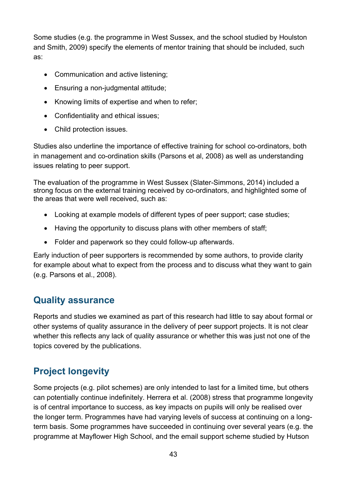Some studies (e.g. the programme in West Sussex, and the school studied by Houlston and Smith, 2009) specify the elements of mentor training that should be included, such as:

- Communication and active listening;
- Ensuring a non-judgmental attitude;
- Knowing limits of expertise and when to refer;
- Confidentiality and ethical issues:
- Child protection issues.

Studies also underline the importance of effective training for school co-ordinators, both in management and co-ordination skills (Parsons et al, 2008) as well as understanding issues relating to peer support.

The evaluation of the programme in West Sussex (Slater-Simmons, 2014) included a strong focus on the external training received by co-ordinators, and highlighted some of the areas that were well received, such as:

- Looking at example models of different types of peer support; case studies;
- Having the opportunity to discuss plans with other members of staff;
- Folder and paperwork so they could follow-up afterwards.

Early induction of peer supporters is recommended by some authors, to provide clarity for example about what to expect from the process and to discuss what they want to gain (e.g. Parsons et al., 2008).

## <span id="page-42-0"></span>**Quality assurance**

Reports and studies we examined as part of this research had little to say about formal or other systems of quality assurance in the delivery of peer support projects. It is not clear whether this reflects any lack of quality assurance or whether this was just not one of the topics covered by the publications.

## <span id="page-42-1"></span>**Project longevity**

Some projects (e.g. pilot schemes) are only intended to last for a limited time, but others can potentially continue indefinitely. Herrera et al. (2008) stress that programme longevity is of central importance to success, as key impacts on pupils will only be realised over the longer term. Programmes have had varying levels of success at continuing on a longterm basis. Some programmes have succeeded in continuing over several years (e.g. the programme at Mayflower High School, and the email support scheme studied by Hutson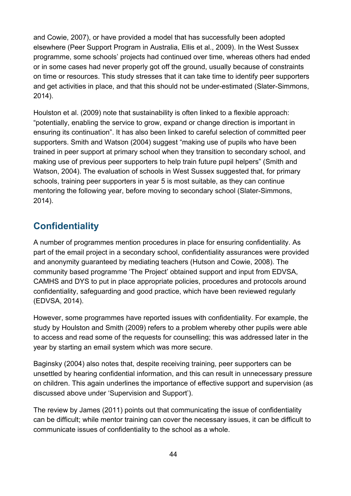and Cowie, 2007), or have provided a model that has successfully been adopted elsewhere (Peer Support Program in Australia, Ellis et al., 2009). In the West Sussex programme, some schools' projects had continued over time, whereas others had ended or in some cases had never properly got off the ground, usually because of constraints on time or resources. This study stresses that it can take time to identify peer supporters and get activities in place, and that this should not be under-estimated (Slater-Simmons, 2014).

Houlston et al. (2009) note that sustainability is often linked to a flexible approach: "potentially, enabling the service to grow, expand or change direction is important in ensuring its continuation". It has also been linked to careful selection of committed peer supporters. Smith and Watson (2004) suggest "making use of pupils who have been trained in peer support at primary school when they transition to secondary school, and making use of previous peer supporters to help train future pupil helpers" (Smith and Watson, 2004). The evaluation of schools in West Sussex suggested that, for primary schools, training peer supporters in year 5 is most suitable, as they can continue mentoring the following year, before moving to secondary school (Slater-Simmons, 2014).

## <span id="page-43-0"></span>**Confidentiality**

A number of programmes mention procedures in place for ensuring confidentiality. As part of the email project in a secondary school, confidentiality assurances were provided and anonymity guaranteed by mediating teachers (Hutson and Cowie, 2008). The community based programme 'The Project' obtained support and input from EDVSA, CAMHS and DYS to put in place appropriate policies, procedures and protocols around confidentiality, safeguarding and good practice, which have been reviewed regularly (EDVSA, 2014).

However, some programmes have reported issues with confidentiality. For example, the study by Houlston and Smith (2009) refers to a problem whereby other pupils were able to access and read some of the requests for counselling; this was addressed later in the year by starting an email system which was more secure.

Baginsky (2004) also notes that, despite receiving training, peer supporters can be unsettled by hearing confidential information, and this can result in unnecessary pressure on children. This again underlines the importance of effective support and supervision (as discussed above under 'Supervision and Support').

The review by James (2011) points out that communicating the issue of confidentiality can be difficult; while mentor training can cover the necessary issues, it can be difficult to communicate issues of confidentiality to the school as a whole.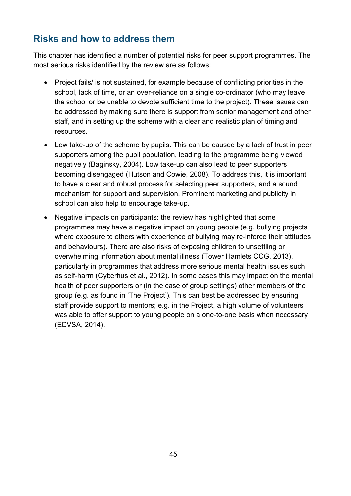## <span id="page-44-0"></span>**Risks and how to address them**

This chapter has identified a number of potential risks for peer support programmes. The most serious risks identified by the review are as follows:

- Project fails/ is not sustained, for example because of conflicting priorities in the school, lack of time, or an over-reliance on a single co-ordinator (who may leave the school or be unable to devote sufficient time to the project). These issues can be addressed by making sure there is support from senior management and other staff, and in setting up the scheme with a clear and realistic plan of timing and resources.
- Low take-up of the scheme by pupils. This can be caused by a lack of trust in peer supporters among the pupil population, leading to the programme being viewed negatively (Baginsky, 2004). Low take-up can also lead to peer supporters becoming disengaged (Hutson and Cowie, 2008). To address this, it is important to have a clear and robust process for selecting peer supporters, and a sound mechanism for support and supervision. Prominent marketing and publicity in school can also help to encourage take-up.
- Negative impacts on participants: the review has highlighted that some programmes may have a negative impact on young people (e.g. bullying projects where exposure to others with experience of bullying may re-inforce their attitudes and behaviours). There are also risks of exposing children to unsettling or overwhelming information about mental illness (Tower Hamlets CCG, 2013), particularly in programmes that address more serious mental health issues such as self-harm (Cyberhus et al., 2012). In some cases this may impact on the mental health of peer supporters or (in the case of group settings) other members of the group (e.g. as found in 'The Project'). This can best be addressed by ensuring staff provide support to mentors; e.g. in the Project, a high volume of volunteers was able to offer support to young people on a one-to-one basis when necessary (EDVSA, 2014).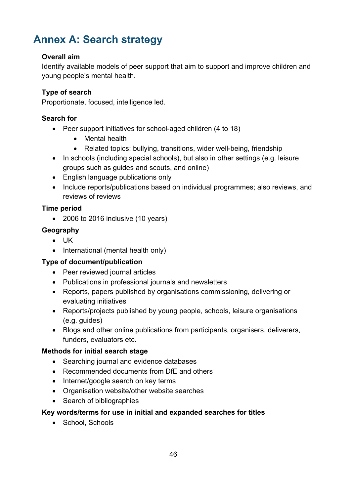# <span id="page-45-0"></span>**Annex A: Search strategy**

#### **Overall aim**

Identify available models of peer support that aim to support and improve children and young people's mental health.

#### **Type of search**

Proportionate, focused, intelligence led.

#### **Search for**

- Peer support initiatives for school-aged children (4 to 18)
	- Mental health
	- Related topics: bullying, transitions, wider well-being, friendship
- In schools (including special schools), but also in other settings (e.g. leisure groups such as guides and scouts, and online)
- English language publications only
- Include reports/publications based on individual programmes; also reviews, and reviews of reviews

#### **Time period**

• 2006 to 2016 inclusive (10 years)

#### **Geography**

- UK
- International (mental health only)

#### **Type of document/publication**

- Peer reviewed journal articles
- Publications in professional journals and newsletters
- Reports, papers published by organisations commissioning, delivering or evaluating initiatives
- Reports/projects published by young people, schools, leisure organisations (e.g. guides)
- Blogs and other online publications from participants, organisers, deliverers, funders, evaluators etc.

#### **Methods for initial search stage**

- Searching journal and evidence databases
- Recommended documents from DfE and others
- Internet/google search on key terms
- Organisation website/other website searches
- Search of bibliographies

#### **Key words/terms for use in initial and expanded searches for titles**

• School, Schools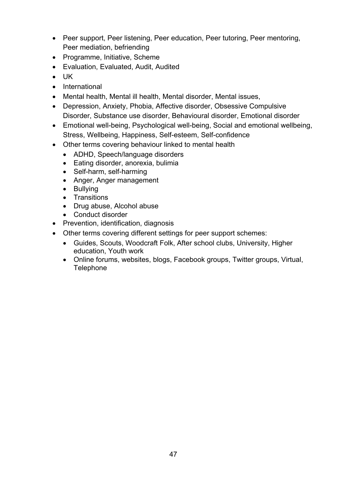- Peer support, Peer listening, Peer education, Peer tutoring, Peer mentoring, Peer mediation, befriending
- Programme, Initiative, Scheme
- Evaluation, Evaluated, Audit, Audited
- UK
- International
- Mental health, Mental ill health, Mental disorder, Mental issues,
- Depression, Anxiety, Phobia, Affective disorder, Obsessive Compulsive Disorder, Substance use disorder, Behavioural disorder, Emotional disorder
- Emotional well-being, Psychological well-being, Social and emotional wellbeing, Stress, Wellbeing, Happiness, Self-esteem, Self-confidence
- Other terms covering behaviour linked to mental health
	- ADHD, Speech/language disorders
	- Eating disorder, anorexia, bulimia
	- Self-harm, self-harming
	- Anger, Anger management
	- Bullying
	- Transitions
	- Drug abuse, Alcohol abuse
	- Conduct disorder
- Prevention, identification, diagnosis
- Other terms covering different settings for peer support schemes:
	- Guides, Scouts, Woodcraft Folk, After school clubs, University, Higher education, Youth work
	- Online forums, websites, blogs, Facebook groups, Twitter groups, Virtual, **Telephone**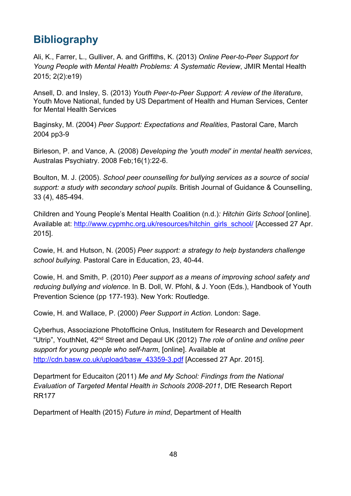# <span id="page-47-0"></span>**Bibliography**

Ali, K., Farrer, L., Gulliver, A. and Griffiths, K. (2013) *Online Peer-to-Peer Support for Young People with Mental Health Problems: A Systematic Review*, JMIR Mental Health 2015; 2(2):e19)

Ansell, D. and Insley, S. (2013) *Youth Peer-to-Peer Support: A review of the literature*, Youth Move National, funded by US Department of Health and Human Services, Center for Mental Health Services

Baginsky, M. (2004) *Peer Support: Expectations and Realities*, Pastoral Care, March 2004 pp3-9

[Birleson, P.](http://www.ncbi.nlm.nih.gov/pubmed/?term=Birleson%20P%5BAuthor%5D&cauthor=true&cauthor_uid=18202930) and [Vance, A.](http://www.ncbi.nlm.nih.gov/pubmed/?term=Vance%20A%5BAuthor%5D&cauthor=true&cauthor_uid=18202930) (2008) *Developing the 'youth model' in mental health services*, [Australas Psychiatry.](http://www.ncbi.nlm.nih.gov/pubmed/18202930) 2008 Feb;16(1):22-6.

Boulton, M. J. (2005). *School peer counselling for bullying services as a source of social support: a study with secondary school pupils*. British Journal of Guidance & Counselling, 33 (4), 485-494.

Children and Young People's Mental Health Coalition (n.d.)*: Hitchin Girls School* [online]. Available at: [http://www.cypmhc.org.uk/resources/hitchin\\_girls\\_school/](http://www.cypmhc.org.uk/resources/hitchin_girls_school/) [Accessed 27 Apr. 2015].

Cowie, H. and Hutson, N. (2005) *Peer support: a strategy to help bystanders challenge school bullying*. Pastoral Care in Education, 23, 40-44.

Cowie, H. and Smith, P. (2010) *Peer support as a means of improving school safety and reducing bullying and violence*. In B. Doll, W. Pfohl, & J. Yoon (Eds.), Handbook of Youth Prevention Science (pp 177-193). New York: Routledge.

Cowie, H. and Wallace, P. (2000) *Peer Support in Action.* London: Sage.

Cyberhus, Associazione Photofficine Onlus, Institutem for Research and Development "Utrip", YouthNet, 42nd Street and Depaul UK (2012) *The role of online and online peer support for young people who self-harm*, [online]. Available at [http://cdn.basw.co.uk/upload/basw\\_43359-3.pdf](http://cdn.basw.co.uk/upload/basw_43359-3.pdf) [Accessed 27 Apr. 2015].

Department for Educaiton (2011) *Me and My School: Findings from the National Evaluation of Targeted Mental Health in Schools 2008-2011*, DfE Research Report RR177

Department of Health (2015) *Future in mind*, Department of Health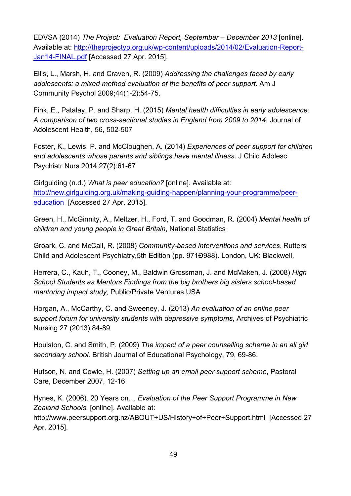EDVSA (2014) *The Project: Evaluation Report, September – December 2013* [online]. Available at: [http://theprojectyp.org.uk/wp-content/uploads/2014/02/Evaluation-Report-](http://theprojectyp.org.uk/wp-content/uploads/2014/02/Evaluation-Report-Jan14-FINAL.pdf)[Jan14-FINAL.pdf](http://theprojectyp.org.uk/wp-content/uploads/2014/02/Evaluation-Report-Jan14-FINAL.pdf) [Accessed 27 Apr. 2015].

Ellis, L., Marsh, H. and Craven, R. (2009) *Addressing the challenges faced by early adolescents: a mixed method evaluation of the benefits of peer support*. Am J Community Psychol 2009;44(1-2):54-75.

Fink, E., Patalay, P. and Sharp, H. (2015) *Mental health difficulties in early adolescence: A comparison of two cross-sectional studies in England from 2009 to 2014*. Journal of Adolescent Health, 56, 502-507

Foster, K., Lewis, P. and McCloughen, A. (2014) *Experiences of peer support for children and adolescents whose parents and siblings have mental illness*. J Child Adolesc Psychiatr Nurs 2014;27(2):61-67

Girlguiding (n.d.) *What is peer education?* [online]. Available at: [http://new.girlguiding.org.uk/making-guiding-happen/planning-your-programme/peer](http://new.girlguiding.org.uk/making-guiding-happen/planning-your-programme/peer-education)[education](http://new.girlguiding.org.uk/making-guiding-happen/planning-your-programme/peer-education) [Accessed 27 Apr. 2015].

Green, H., McGinnity, A., Meltzer, H., Ford, T. and Goodman, R. (2004) *Mental health of children and young people in Great Britain*, National Statistics

Groark, C. and McCall, R. (2008) *Community-based interventions and services*. Rutters Child and Adolescent Psychiatry,5th Edition (pp. 971Ð988). London, UK: Blackwell.

Herrera, C., Kauh, T., Cooney, M., Baldwin Grossman, J. and McMaken, J. (2008) *High School Students as Mentors Findings from the big brothers big sisters school-based mentoring impact study*, Public/Private Ventures USA

Horgan, A., McCarthy, C. and Sweeney, J. (2013) *An evaluation of an online peer support forum for university students with depressive symptoms*, Archives of Psychiatric Nursing 27 (2013) 84-89

Houlston, C. and Smith, P. (2009) *The impact of a peer counselling scheme in an all girl secondary school*. British Journal of Educational Psychology, 79, 69-86.

Hutson, N. and Cowie, H. (2007) *Setting up an email peer support scheme*, Pastoral Care, December 2007, 12-16

Hynes, K. (2006). 20 Years on… *Evaluation of the Peer Support Programme in New Zealand Schools*. [online]. Available at: http://www.peersupport.org.nz/ABOUT+US/History+of+Peer+Support.html [Accessed 27 Apr. 2015].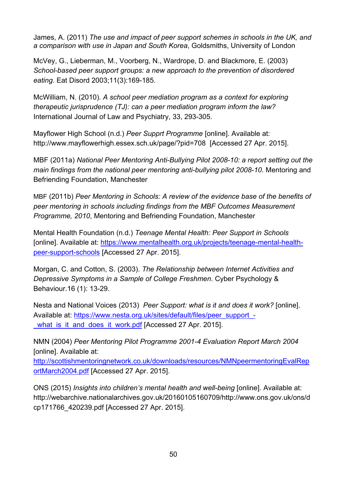James, A. (2011) *The use and impact of peer support schemes in schools in the UK, and a comparison with use in Japan and South Korea*, Goldsmiths, University of London

McVey, G., Lieberman, M., Voorberg, N., Wardrope, D. and Blackmore, E. (2003) *School-based peer support groups: a new approach to the prevention of disordered eating*. Eat Disord 2003;11(3):169-185.

McWilliam, N. (2010). *A school peer mediation program as a context for exploring therapeutic jurisprudence (TJ): can a peer mediation program inform the law?* International Journal of Law and Psychiatry, 33, 293-305.

Mayflower High School (n.d.) *Peer Supprt Programme* [online]. Available at: http://www.mayflowerhigh.essex.sch.uk/page/?pid=708 [Accessed 27 Apr. 2015].

MBF (2011a) *National Peer Mentoring Anti-Bullying Pilot 2008-10: a report setting out the main findings from the national peer mentoring anti-bullying pilot 2008-10*. Mentoring and Befriending Foundation, Manchester

MBF (2011b) *Peer Mentoring in Schools: A review of the evidence base of the benefits of peer mentoring in schools including findings from the MBF Outcomes Measurement Programme, 2010*, Mentoring and Befriending Foundation, Manchester

Mental Health Foundation (n.d.) *Teenage Mental Health: Peer Support in Schools* [online]. Available at: [https://www.mentalhealth.org.uk/projects/teenage-mental-health](https://www.mentalhealth.org.uk/projects/teenage-mental-health-peer-support-schools)[peer-support-schools](https://www.mentalhealth.org.uk/projects/teenage-mental-health-peer-support-schools) [Accessed 27 Apr. 2015].

Morgan, C. and Cotton, S. (2003). *The Relationship between Internet Activities and Depressive Symptoms in a Sample of College Freshmen*. Cyber Psychology & Behaviour.16 (1): 13-29.

Nesta and National Voices (2013) *Peer Support: what is it and does it work?* [online]. Available at: [https://www.nesta.org.uk/sites/default/files/peer\\_support\\_](https://www.nesta.org.uk/sites/default/files/peer_support_-_what_is_it_and_does_it_work.pdf) what is it and does it work.pdf [Accessed 27 Apr. 2015].

NMN (2004) *Peer Mentoring Pilot Programme 2001-4 Evaluation Report March 2004* [online]. Available at:

[http://scottishmentoringnetwork.co.uk/downloads/resources/NMNpeermentoringEvalRep](http://scottishmentoringnetwork.co.uk/downloads/resources/NMNpeermentoringEvalReportMarch2004.pdf) [ortMarch2004.pdf](http://scottishmentoringnetwork.co.uk/downloads/resources/NMNpeermentoringEvalReportMarch2004.pdf) [Accessed 27 Apr. 2015].

ONS (2015) *Insights into children's mental health and well-being* [online]. Available at: http://webarchive.nationalarchives.gov.uk/20160105160709/http://www.ons.gov.uk/ons/d cp171766\_420239.pdf [Accessed 27 Apr. 2015].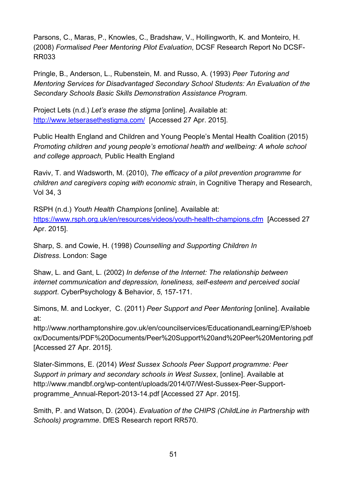Parsons, C., Maras, P., Knowles, C., Bradshaw, V., Hollingworth, K. and Monteiro, H. (2008) *Formalised Peer Mentoring Pilot Evaluation*, DCSF Research Report No DCSF-RR033

Pringle, B., Anderson, L., Rubenstein, M. and Russo, A. (1993) *Peer Tutoring and Mentoring Services for Disadvantaged Secondary School Students: An Evaluation of the Secondary Schools Basic Skills Demonstration Assistance Program*.

Project Lets (n.d.) *Let's erase the stigma* [online]. Available at: <http://www.letserasethestigma.com/>[Accessed 27 Apr. 2015].

Public Health England and Children and Young People's Mental Health Coalition (2015) *Promoting children and young people's emotional health and wellbeing: A whole school and college approach,* Public Health England

Raviv, T. and Wadsworth, M. (2010), *The efficacy of a pilot prevention programme for children and caregivers coping with economic strain*, in Cognitive Therapy and Research, Vol 34, 3

RSPH (n.d.) *Youth Health Champions* [online]. Available at: <https://www.rsph.org.uk/en/resources/videos/youth-health-champions.cfm>[Accessed 27 Apr. 2015].

Sharp, S. and Cowie, H. (1998) *Counselling and Supporting Children In Distress*. London: Sage

Shaw, L. and Gant, L. (2002) *In defense of the Internet: The relationship between internet communication and depression, loneliness, self-esteem and perceived social support*. CyberPsychology & Behavior, *5*, 157-171.

Simons, M. and Lockyer, C. (2011) *Peer Support and Peer Mentoring* [online]. Available at:

[http://www.northamptonshire.gov.uk/en/c](http://www.northamptonshire.gov.uk/en/)ouncilservices/EducationandLearning/EP/shoeb ox/Documents/PDF%20Documents/Peer%20Support%20and%20Peer%20Mentoring.pdf [Accessed 27 Apr. 2015].

Slater-Simmons, E. (2014) *West Sussex Schools Peer Support programme: Peer Support in primary and secondary schools in West Sussex*, [online]. Available at [http://www.mandbf.org/wp-content/uploads/2014/07/West-Sussex-Peer-Support](http://www.mandbf.org/wp-content/uploads/2014/07/West-Sussex-Peer-Support-programme_Annual-Report-2013-14.pdf)[programme\\_Annual-Report-2013-14.pdf](http://www.mandbf.org/wp-content/uploads/2014/07/West-Sussex-Peer-Support-programme_Annual-Report-2013-14.pdf) [Accessed 27 Apr. 2015].

Smith, P. and Watson, D. (2004). *Evaluation of the CHIPS (ChildLine in Partnership with Schools) programme*. DfES Research report RR570.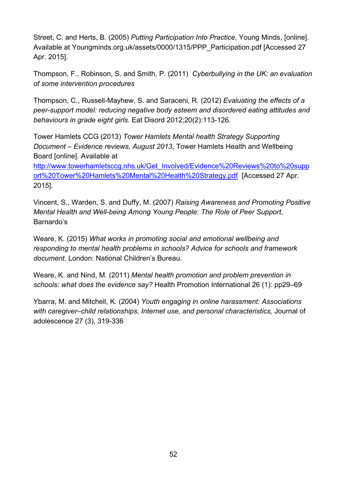Street, C. and Herts, B. (2005) *Putting Participation Into Practice*, Young Minds, [online]. Available at Youngminds.org.uk/assets/0000/1315/PPP\_Participation.pdf [Accessed 27 Apr. 2015].

Thompson, F., Robinson, S. and Smith, P. (2011) *Cyberbullying in the UK: an evaluation of some intervention procedures*

Thompson, C., Russell-Mayhew, S. and Saraceni, R. (2012) *Evaluating the effects of a peer-support model: reducing negative body esteem and disordered eating attitudes and behaviours in grade eight girls*. Eat Disord 2012;20(2):113-126.

Tower Hamlets CCG (2013) *Tower Hamlets Mental health Strategy Supporting Document – Evidence reviews, August 2013*, Tower Hamlets Health and Wellbeing Board [online]. Available at

[http://www.towerhamletsccg.nhs.uk/Get\\_Involved/Evidence%20Reviews%20to%20supp](http://www.towerhamletsccg.nhs.uk/Get_Involved/Evidence%20Reviews%20to%20support%20Tower%20Hamlets%20Mental%20Health%20Strategy.pdf) [ort%20Tower%20Hamlets%20Mental%20Health%20Strategy.pdf](http://www.towerhamletsccg.nhs.uk/Get_Involved/Evidence%20Reviews%20to%20support%20Tower%20Hamlets%20Mental%20Health%20Strategy.pdf) [Accessed 27 Apr. 2015].

Vincent, S., Warden, S. and Duffy, M. (2007) *Raising Awareness and Promoting Positive Mental Health and Well-being Among Young People: The Role of Peer Support*, Barnardo's

Weare, K. (2015) *What works in promoting social and emotional wellbeing and responding to mental health problems in schools? Advice for schools and framework document*. London: National Children's Bureau.

Weare, K. and Nind, M. (2011) *Mental health promotion and problem prevention in schools: what does the evidence say?* Health Promotion International 26 (1): pp29–69

Ybarra, M. and Mitchell, K. (2004) *[Youth engaging in online harassment: Associations](https://scholar.google.com/citations?view_op=view_citation&hl=en&user=80JFCkwAAAAJ&citation_for_view=80JFCkwAAAAJ:u-x6o8ySG0sC)  [with caregiver–child relationships, Internet use, and personal characteristics,](https://scholar.google.com/citations?view_op=view_citation&hl=en&user=80JFCkwAAAAJ&citation_for_view=80JFCkwAAAAJ:u-x6o8ySG0sC)* Journal of adolescence 27 (3), 319-336